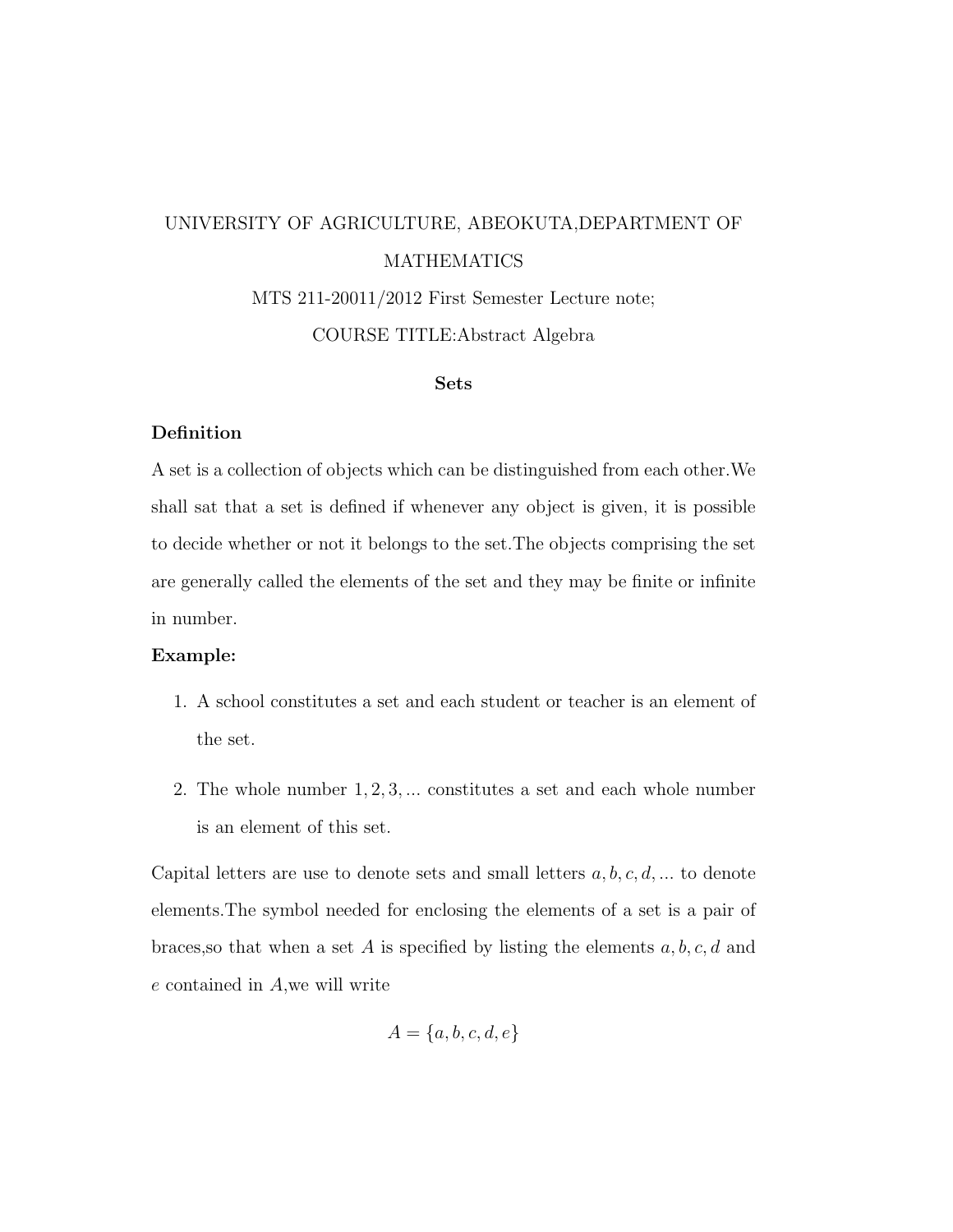# UNIVERSITY OF AGRICULTURE, ABEOKUTA,DEPARTMENT OF MATHEMATICS MTS 211-20011/2012 First Semester Lecture note; COURSE TITLE:Abstract Algebra

## Sets

## Definition

A set is a collection of objects which can be distinguished from each other.We shall sat that a set is defined if whenever any object is given, it is possible to decide whether or not it belongs to the set.The objects comprising the set are generally called the elements of the set and they may be finite or infinite in number.

#### Example:

- 1. A school constitutes a set and each student or teacher is an element of the set.
- 2. The whole number 1, 2, 3, ... constitutes a set and each whole number is an element of this set.

Capital letters are use to denote sets and small letters  $a, b, c, d, \dots$  to denote elements.The symbol needed for enclosing the elements of a set is a pair of braces, so that when a set A is specified by listing the elements  $a, b, c, d$  and e contained in A,we will write

$$
A = \{a, b, c, d, e\}
$$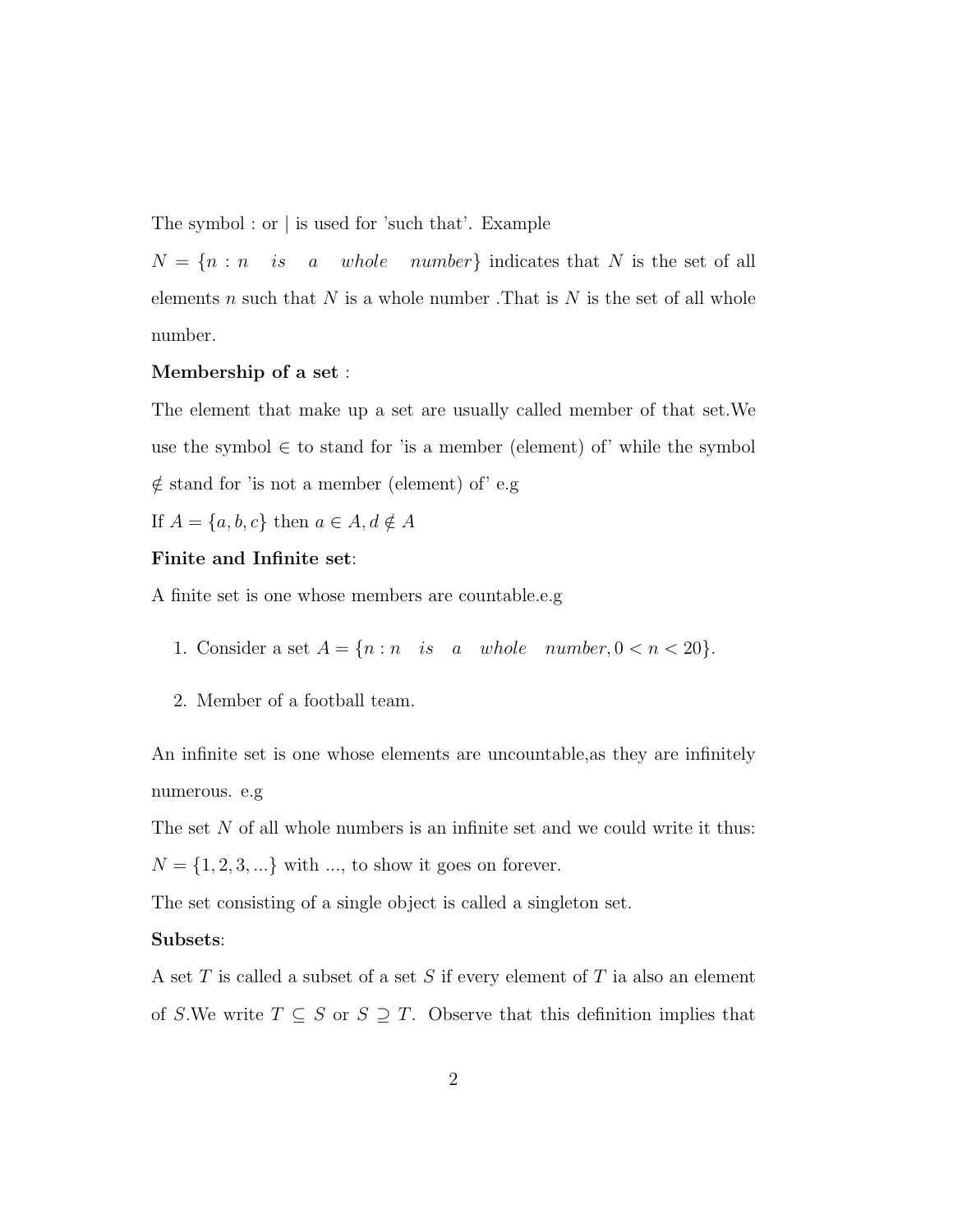The symbol : or | is used for 'such that'. Example

 $N = \{n : n \text{ is a whole number}\}\$ indicates that N is the set of all elements n such that  $N$  is a whole number. That is  $N$  is the set of all whole number.

# Membership of a set :

The element that make up a set are usually called member of that set.We use the symbol  $\in$  to stand for 'is a member (element) of' while the symbol  $\notin$  stand for 'is not a member (element) of e.g

If  $A = \{a, b, c\}$  then  $a \in A, d \notin A$ 

#### Finite and Infinite set:

A finite set is one whose members are countable.e.g

- 1. Consider a set  $A = \{n : n \text{ is a whole number}, 0 < n < 20\}.$
- 2. Member of a football team.

An infinite set is one whose elements are uncountable,as they are infinitely numerous. e.g

The set N of all whole numbers is an infinite set and we could write it thus:

 $N=\{1,2,3,\ldots\}$  with  $\ldots,$  to show it goes on forever.

The set consisting of a single object is called a singleton set.

# Subsets:

A set T is called a subset of a set S if every element of T ia also an element of S.We write  $T \subseteq S$  or  $S \supseteq T$ . Observe that this definition implies that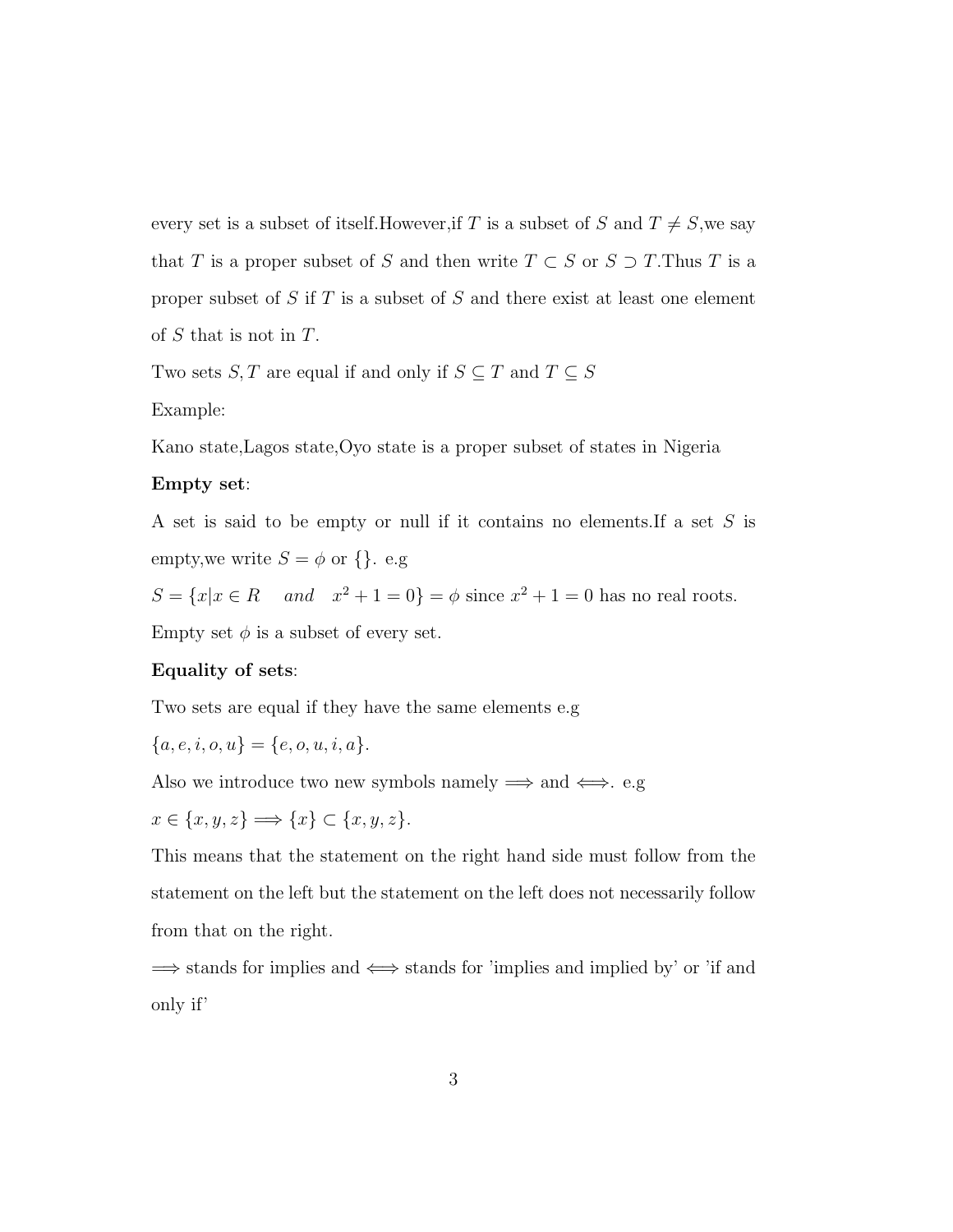every set is a subset of itself.<br>However,<br>if  $T$  is a subset of  $S$  and<br>  $T\neq S,$  we say that T is a proper subset of S and then write  $T \subset S$  or  $S \supset T$ . Thus T is a proper subset of  $S$  if  $T$  is a subset of  $S$  and there exist at least one element of S that is not in T.

Two sets  $S,T$  are equal if and only if  $S\subseteq T$  and  $T\subseteq S$ 

Example:

Kano state,Lagos state,Oyo state is a proper subset of states in Nigeria

#### Empty set:

A set is said to be empty or null if it contains no elements.If a set S is empty, we write  $S = \phi$  or {}. e.g

 $S = \{x | x \in R \text{ and } x^2 + 1 = 0\} = \phi \text{ since } x^2 + 1 = 0 \text{ has no real roots.}$ 

Empty set  $\phi$  is a subset of every set.

## Equality of sets:

Two sets are equal if they have the same elements e.g

$$
\{a, e, i, o, u\} = \{e, o, u, i, a\}.
$$

Also we introduce two new symbols namely  $\Longrightarrow$  and  $\Longleftrightarrow$ . e.g

 $x \in \{x, y, z\} \Longrightarrow \{x\} \subset \{x, y, z\}.$ 

This means that the statement on the right hand side must follow from the statement on the left but the statement on the left does not necessarily follow from that on the right.

 $\implies$  stands for implies and  $\iff$  stands for 'implies and implied by' or 'if and only if'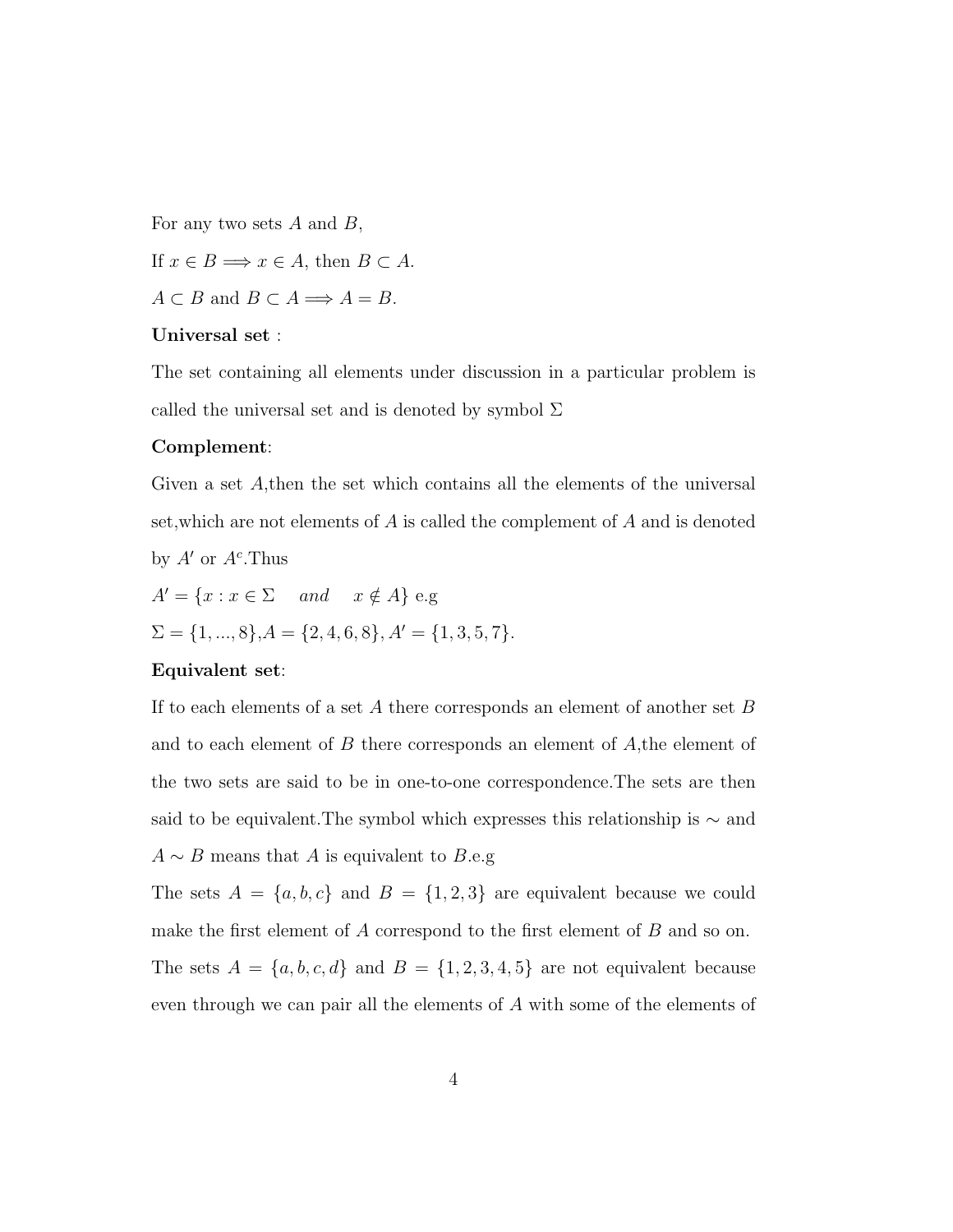For any two sets  $A$  and  $B$ ,

If  $x \in B \Longrightarrow x \in A$ , then  $B \subset A$ .

 $A \subset B$  and  $B \subset A \Longrightarrow A = B$ .

#### Universal set :

The set containing all elements under discussion in a particular problem is called the universal set and is denoted by symbol  $\Sigma$ 

### Complement:

Given a set A,then the set which contains all the elements of the universal set,which are not elements of A is called the complement of A and is denoted by  $A'$  or  $A<sup>c</sup>$ . Thus  $A' = \{x : x \in \Sigma \text{ and } x \notin A\}$ e.g

 $\Sigma = \{1, ..., 8\}, A = \{2, 4, 6, 8\}, A' = \{1, 3, 5, 7\}.$ 

## Equivalent set:

If to each elements of a set  $A$  there corresponds an element of another set  $B$ and to each element of  $B$  there corresponds an element of  $A$ , the element of the two sets are said to be in one-to-one correspondence.The sets are then said to be equivalent. The symbol which expresses this relationship is  $\sim$  and  $A \sim B$  means that A is equivalent to B.e.g

The sets  $A = \{a, b, c\}$  and  $B = \{1, 2, 3\}$  are equivalent because we could make the first element of A correspond to the first element of B and so on. The sets  $A = \{a, b, c, d\}$  and  $B = \{1, 2, 3, 4, 5\}$  are not equivalent because even through we can pair all the elements of A with some of the elements of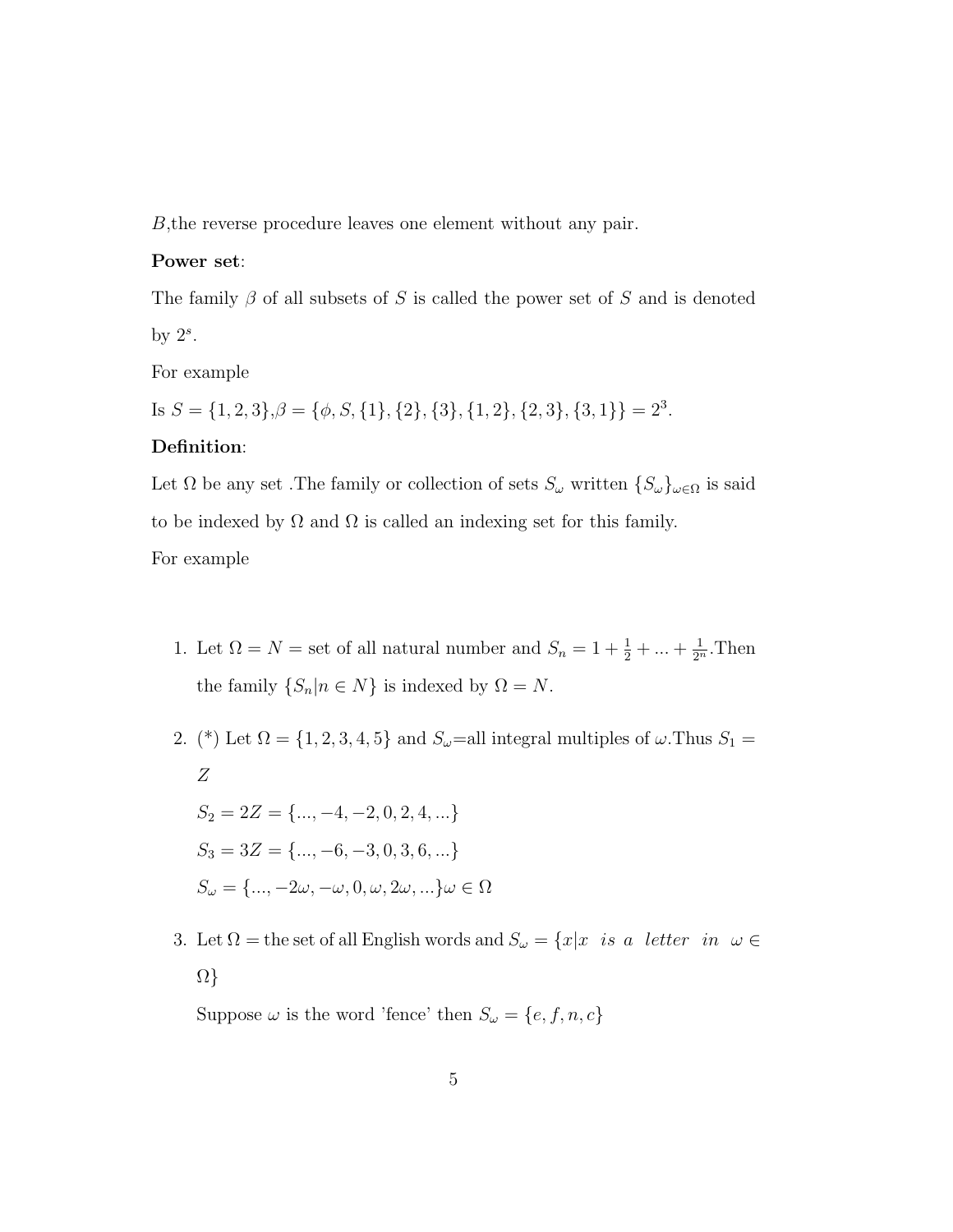B,the reverse procedure leaves one element without any pair.

#### Power set:

The family  $\beta$  of all subsets of S is called the power set of S and is denoted by  $2^s$ .

For example

Is  $S = \{1, 2, 3\}, \beta = \{\phi, S, \{1\}, \{2\}, \{3\}, \{1, 2\}, \{2, 3\}, \{3, 1\}\} = 2^3.$ 

# Definition:

Let  $\Omega$  be any set .The family or collection of sets  $S_{\omega}$  written  $\{S_{\omega}\}_{{\omega}\in{\Omega}}$  is said to be indexed by  $\Omega$  and  $\Omega$  is called an indexing set for this family. For example

- 1. Let  $\Omega = N =$  set of all natural number and  $S_n = 1 + \frac{1}{2} + \dots + \frac{1}{2^n}$ . Then the family  $\{S_n | n \in N\}$  is indexed by  $\Omega = N$ .
- 2. (\*) Let  $\Omega = \{1, 2, 3, 4, 5\}$  and  $S_{\omega}$ =all integral multiples of  $\omega$ . Thus  $S_1$  = Z  $S_2 = 2Z = \{..., -4, -2, 0, 2, 4, ...\}$  $S_3 = 3Z = \{..., -6, -3, 0, 3, 6, ...\}$  $S_{\omega} = \{..., -2\omega, -\omega, 0, \omega, 2\omega, ...\} \omega \in \Omega$
- 3. Let  $\Omega$  = the set of all English words and  $S_{\omega} = \{x | x \text{ is a letter in } \omega \in \Omega\}$ Ω}

Suppose  $\omega$  is the word 'fence' then  $S_{\omega} = \{e, f, n, c\}$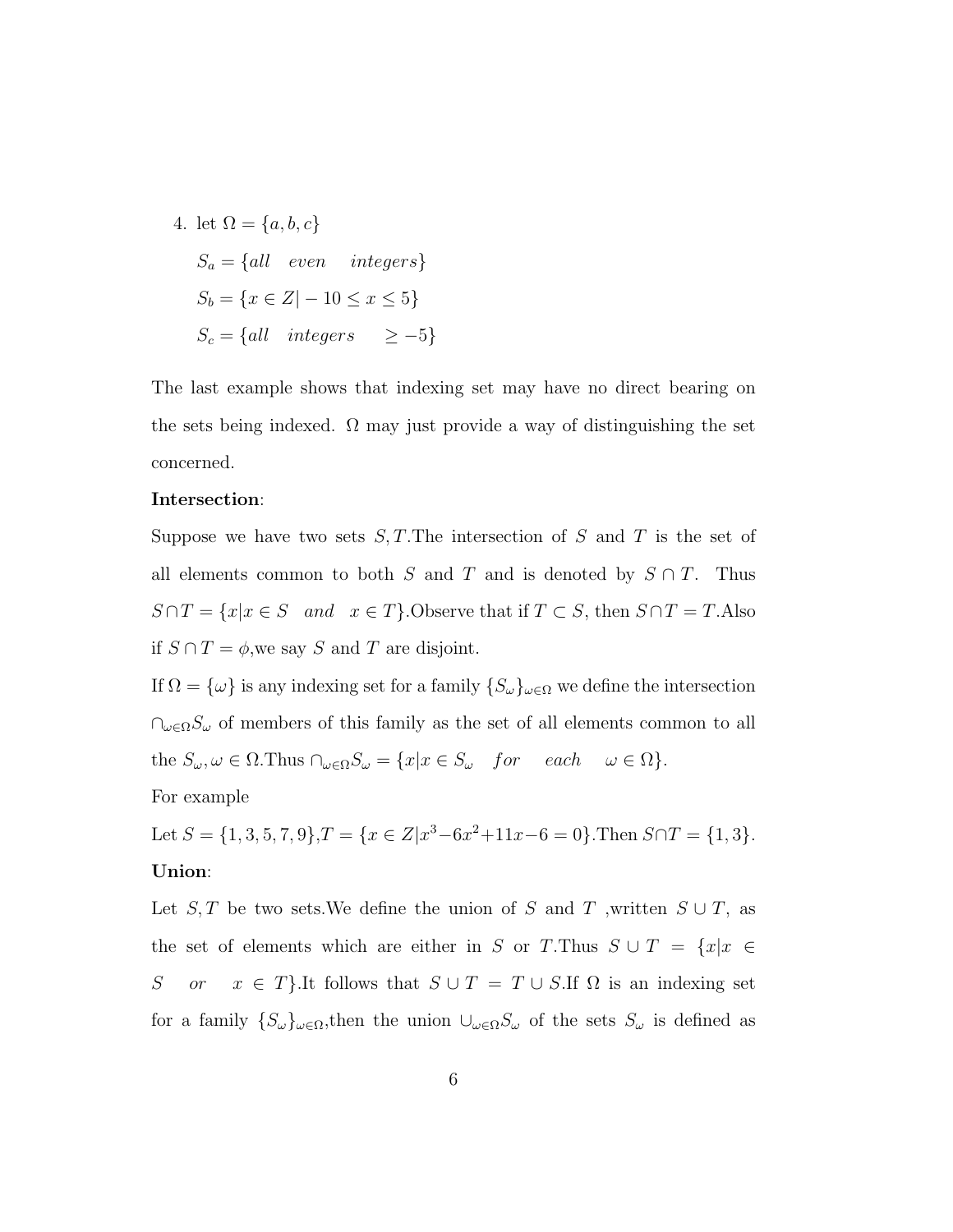4. let 
$$
\Omega = \{a, b, c\}
$$
  
\n
$$
S_a = \{all \quad even \quad integers\}
$$
\n
$$
S_b = \{x \in Z | -10 \le x \le 5\}
$$
\n
$$
S_c = \{all \quad integers \quad \ge -5\}
$$

The last example shows that indexing set may have no direct bearing on the sets being indexed.  $\Omega$  may just provide a way of distinguishing the set concerned.

#### Intersection:

Suppose we have two sets  $S, T$ . The intersection of S and T is the set of all elements common to both S and T and is denoted by  $S \cap T$ . Thus  $S \cap T = \{x | x \in S \text{ and } x \in T\}$ . Observe that if  $T \subset S$ , then  $S \cap T = T$ . Also if  $S \cap T = \phi$ , we say S and T are disjoint.

If  $\Omega = {\omega}$  is any indexing set for a family  ${S_{\omega}}_{\omega \in \Omega}$  we define the intersection  $∩<sub>ω∈Ω</sub>S<sub>ω</sub>$  of members of this family as the set of all elements common to all the  $S_{\omega}, \omega \in \Omega$ . Thus  $\cap_{\omega \in \Omega} S_{\omega} = \{x | x \in S_{\omega} \text{ for each } \omega \in \Omega\}.$ For example

Let 
$$
S = \{1, 3, 5, 7, 9\}
$$
,  $T = \{x \in Z | x^3 - 6x^2 + 11x - 6 = 0\}$ . Then  $S \cap T = \{1, 3\}$ .

# Union:

Let  $S, T$  be two sets.We define the union of S and T ,written  $S \cup T$ , as the set of elements which are either in S or T.Thus  $S \cup T = \{x | x \in$ S or  $x \in T$ .It follows that  $S \cup T = T \cup S$ .If  $\Omega$  is an indexing set for a family  $\{S_{\omega}\}_{{\omega}\in{\Omega}}$ , then the union  $\cup_{{\omega}\in{\Omega}}S_{\omega}$  of the sets  $S_{\omega}$  is defined as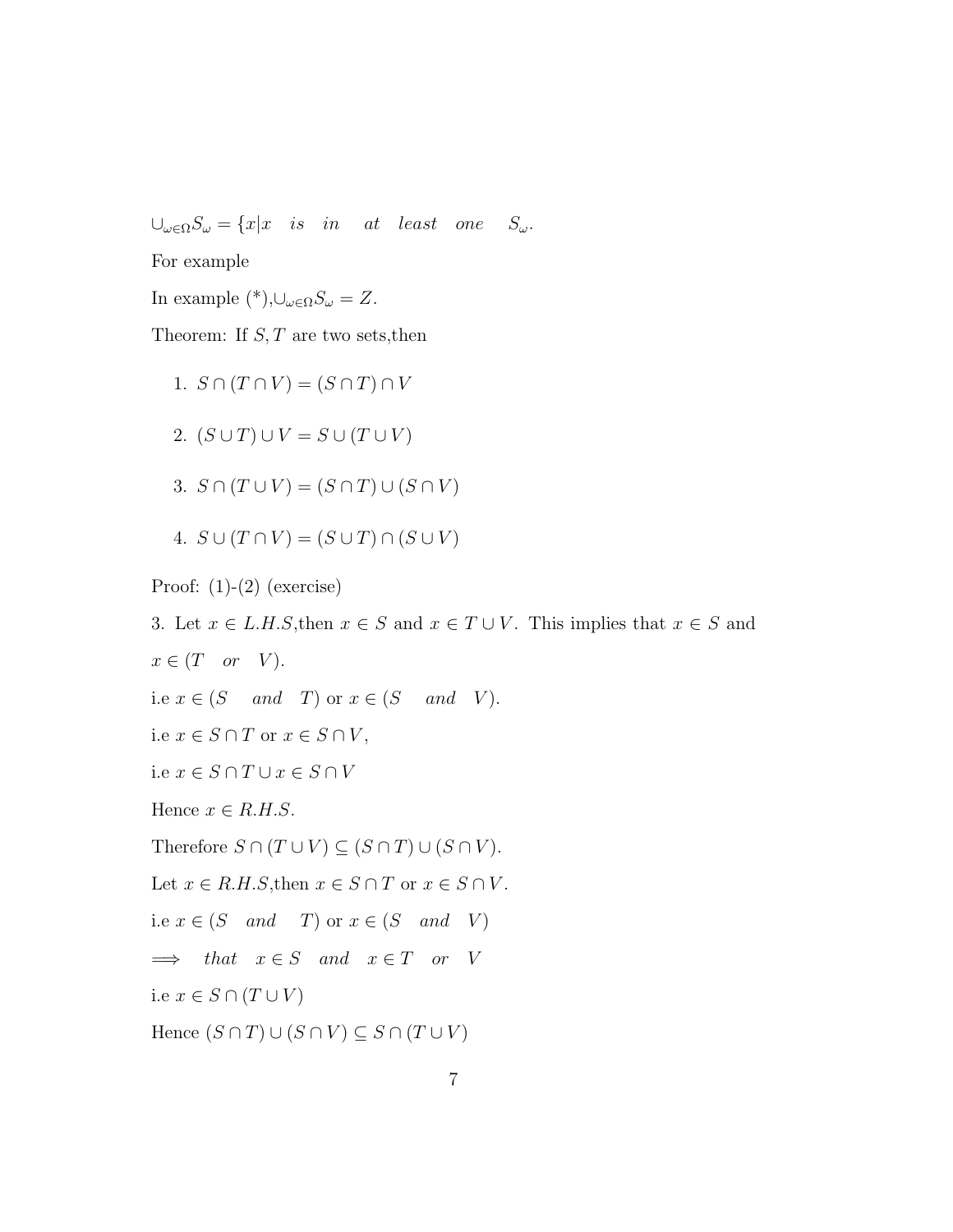$\cup_{\omega \in \Omega} S_{\omega} = \{x | x \text{ is in at least one } S_{\omega}.$ For example

In example  $(*)$ , $\cup_{\omega \in \Omega} S_{\omega} = Z$ .

Theorem: If  $S, T$  are two sets, then

- 1.  $S \cap (T \cap V) = (S \cap T) \cap V$
- 2.  $(S \cup T) \cup V = S \cup (T \cup V)$
- 3.  $S \cap (T \cup V) = (S \cap T) \cup (S \cap V)$
- 4.  $S \cup (T \cap V) = (S \cup T) \cap (S \cup V)$

Proof:  $(1)-(2)$  (exercise)

3. Let  $x \in L.H.S,$ then  $x \in S$  and  $x \in T \cup V$ . This implies that  $x \in S$  and  $x \in (T \quad or \quad V).$ i.e  $x \in (S \quad and \quad T)$  or  $x \in (S \quad and \quad V)$ . i.e  $x \in S \cap T$  or  $x \in S \cap V$ , i.e  $x \in S \cap T \cup x \in S \cap V$ Hence  $x \in R.H.S.$ Therefore  $S \cap (T \cup V) \subseteq (S \cap T) \cup (S \cap V)$ . Let  $x \in R.H.S,$  then  $x \in S \cap T$  or  $x \in S \cap V$ . i.e  $x \in (S \quad and \quad T)$  or  $x \in (S \quad and \quad V)$  $\implies$  that  $x \in S$  and  $x \in T$  or V i.e  $x \in S \cap (T \cup V)$ Hence  $(S \cap T) \cup (S \cap V) \subseteq S \cap (T \cup V)$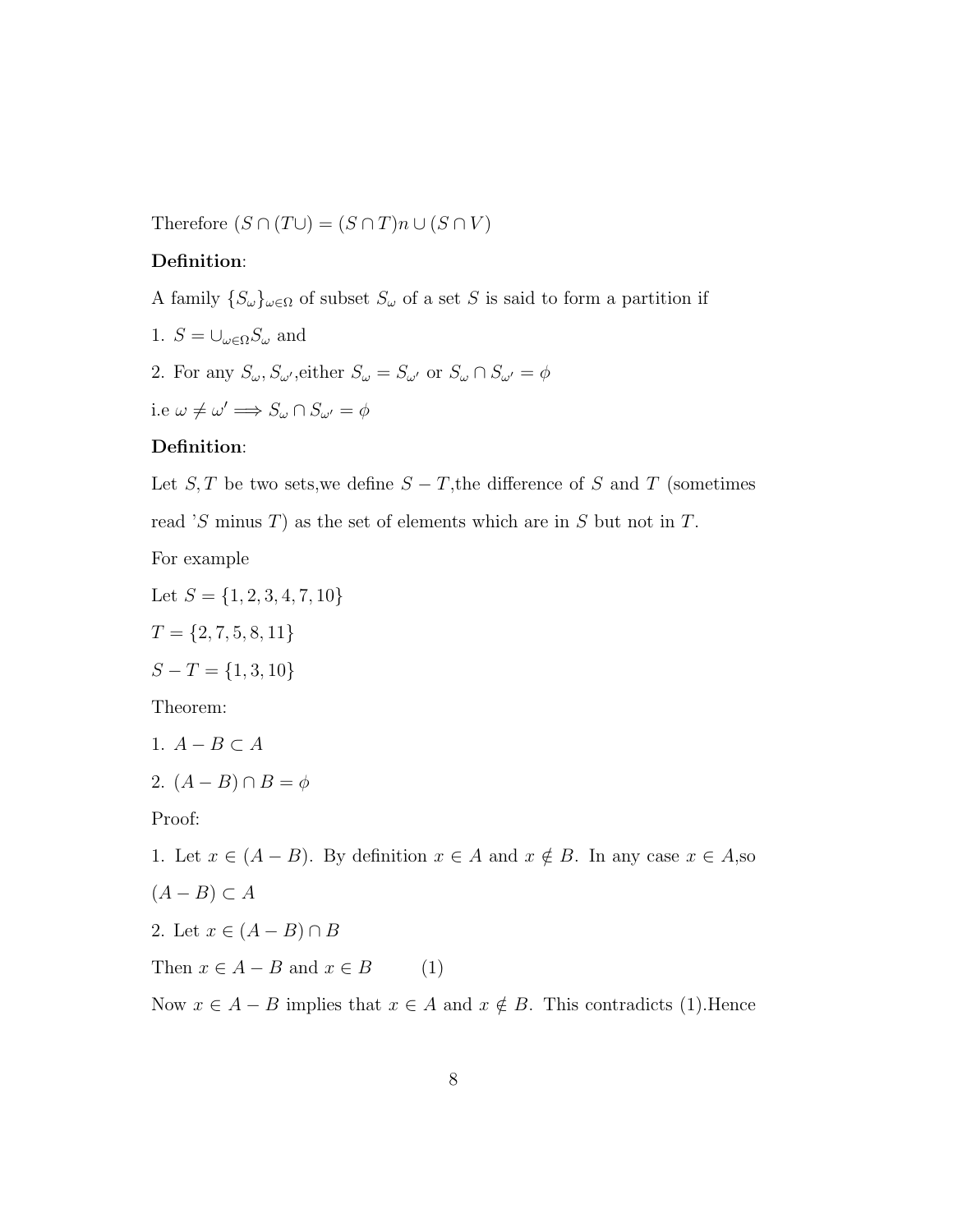Therefore  $(S \cap (T \cup) = (S \cap T)n \cup (S \cap V)$ 

# Definition:

- A family  $\{S_{\omega}\}_{{\omega}\in{\Omega}}$  of subset  $S_{\omega}$  of a set S is said to form a partition if
- 1.  $S = \bigcup_{\omega \in \Omega} S_{\omega}$  and
- 2. For any  $S_{\omega}, S_{\omega'}$ , either  $S_{\omega} = S_{\omega'}$  or  $S_{\omega} \cap S_{\omega'} = \phi$

i.e  $\omega \neq \omega' \Longrightarrow S_{\omega} \cap S_{\omega'} = \phi$ 

# Definition:

Let  $S, T$  be two sets,we define  $S - T$ , the difference of S and T (sometimes

read 'S minus T) as the set of elements which are in S but not in T.

For example

Let 
$$
S = \{1, 2, 3, 4, 7, 10\}
$$
  
\n $T = \{2, 7, 5, 8, 11\}$   
\n $S - T = \{1, 3, 10\}$ 

Theorem:

$$
1. \ A - B \subset A
$$

$$
2. (A - B) \cap B = \phi
$$

Proof:

1. Let  $x \in (A - B)$ . By definition  $x \in A$  and  $x \notin B$ . In any case  $x \in A$ , so  $(A - B) \subset A$ 2. Let  $x \in (A - B) \cap B$ 

Then  $x \in A - B$  and  $x \in B$  (1)

Now  $x \in A - B$  implies that  $x \in A$  and  $x \notin B$ . This contradicts (1).Hence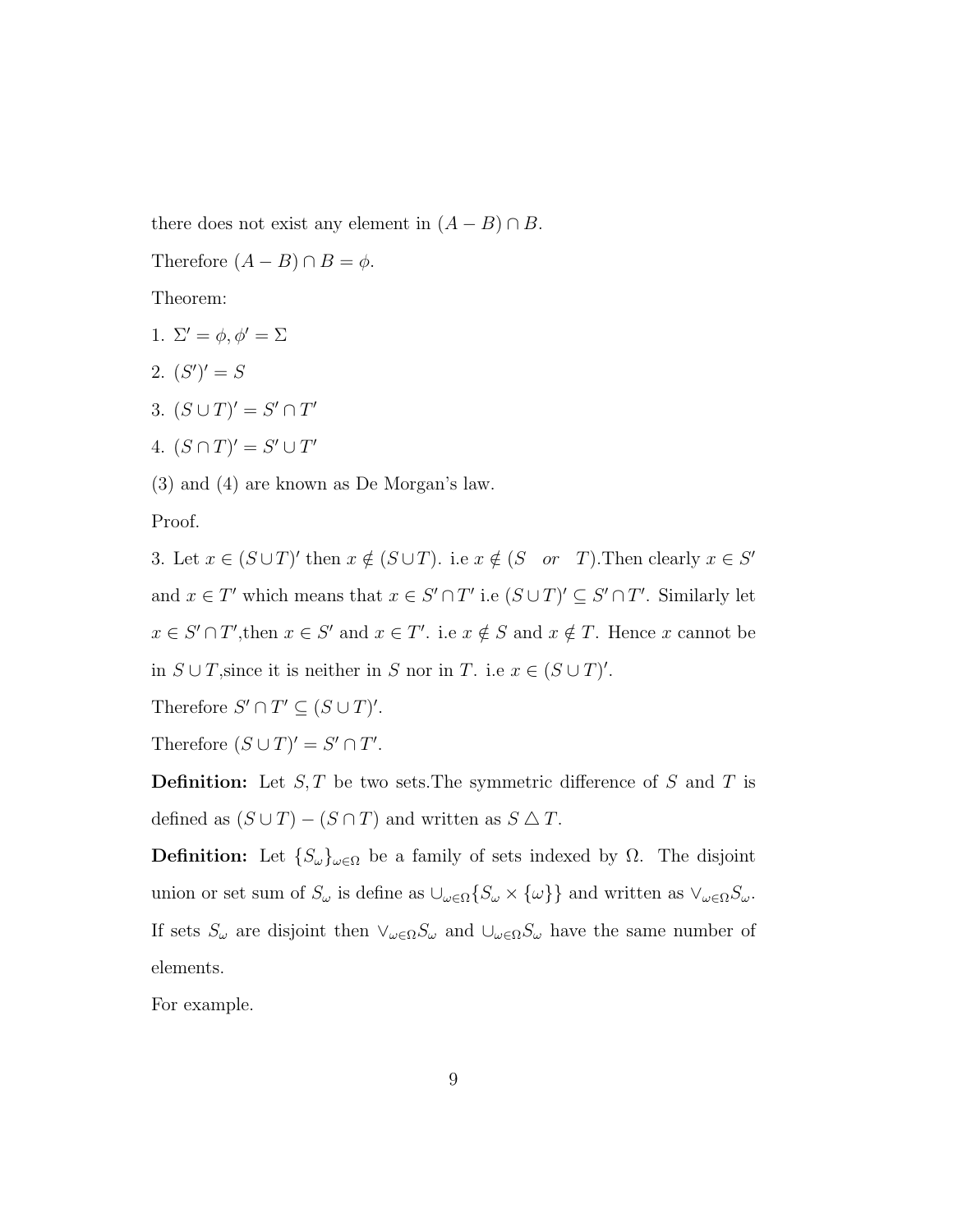there does not exist any element in  $(A - B) \cap B$ .

Therefore  $(A - B) \cap B = \phi$ .

Theorem:

- 1.  $\Sigma' = \phi, \phi' = \Sigma$
- 2.  $(S')' = S$
- 3.  $(S \cup T)' = S' \cap T'$
- 4.  $(S \cap T)' = S' \cup T'$

(3) and (4) are known as De Morgan's law.

Proof.

3. Let  $x \in (S \cup T)'$  then  $x \notin (S \cup T)$ . i.e  $x \notin (S \cup T)$ . Then clearly  $x \in S'$ and  $x \in T'$  which means that  $x \in S' \cap T'$  i.e  $(S \cup T)' \subseteq S' \cap T'$ . Similarly let  $x \in S' \cap T'$ , then  $x \in S'$  and  $x \in T'$ . i.e  $x \notin S$  and  $x \notin T$ . Hence x cannot be in  $S \cup T$ , since it is neither in S nor in T. i.e  $x \in (S \cup T)'$ .

Therefore  $S' \cap T' \subseteq (S \cup T)'$ .

Therefore  $(S \cup T)' = S' \cap T'$ .

**Definition:** Let  $S, T$  be two sets. The symmetric difference of S and T is defined as  $(S \cup T) - (S \cap T)$  and written as  $S \triangle T$ .

**Definition:** Let  $\{S_{\omega}\}_{{\omega}\in\Omega}$  be a family of sets indexed by  $\Omega$ . The disjoint union or set sum of  $S_{\omega}$  is define as  $\cup_{\omega \in \Omega} \{ S_{\omega} \times \{\omega\} \}$  and written as  $\vee_{\omega \in \Omega} S_{\omega}$ . If sets  $S_{\omega}$  are disjoint then  $\vee_{\omega \in \Omega} S_{\omega}$  and  $\cup_{\omega \in \Omega} S_{\omega}$  have the same number of elements.

For example.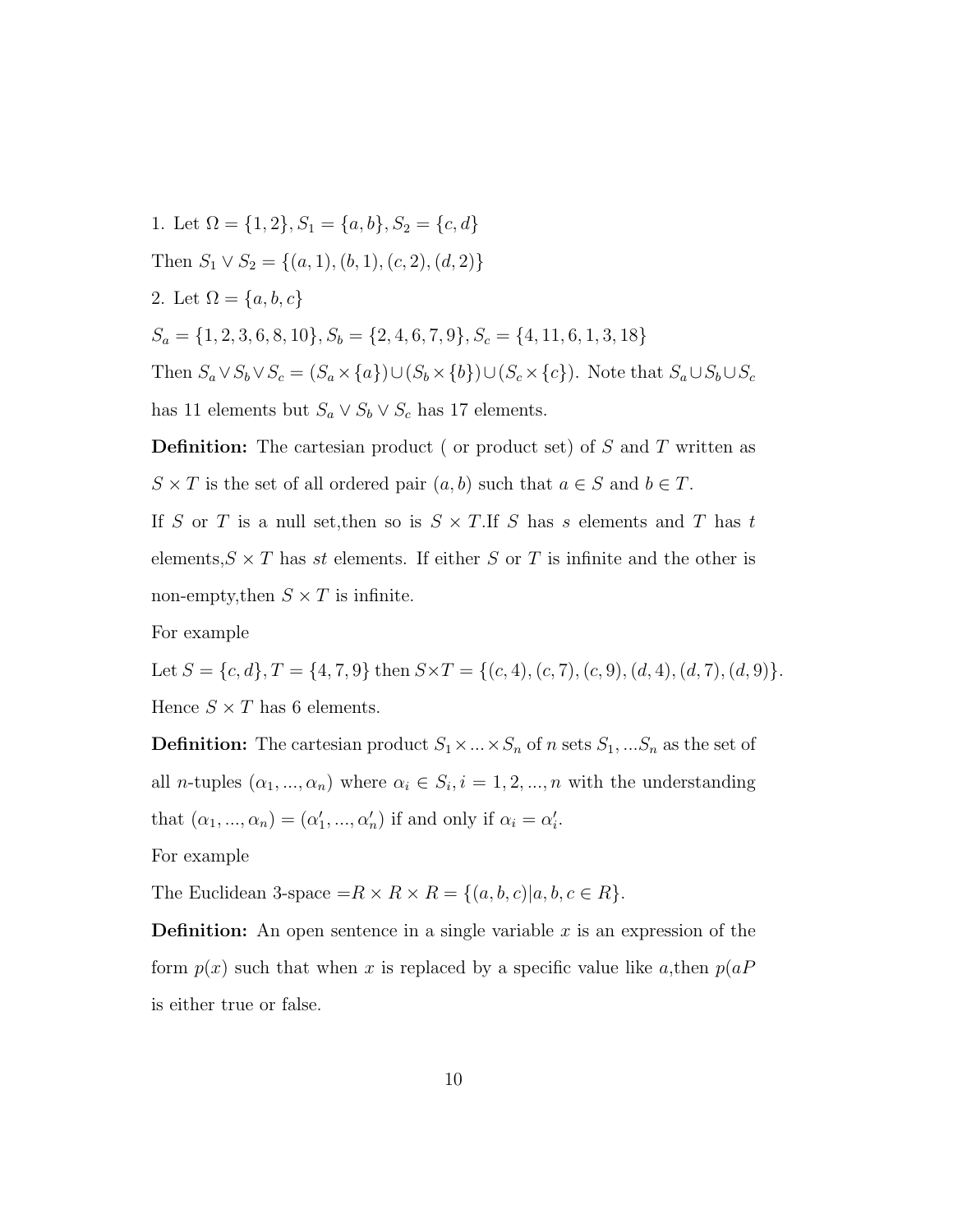1. Let  $\Omega = \{1, 2\}, S_1 = \{a, b\}, S_2 = \{c, d\}$ Then  $S_1 \vee S_2 = \{(a, 1), (b, 1), (c, 2), (d, 2)\}\$ 2. Let  $\Omega = \{a, b, c\}$  $S_a = \{1, 2, 3, 6, 8, 10\}, S_b = \{2, 4, 6, 7, 9\}, S_c = \{4, 11, 6, 1, 3, 18\}$ Then  $S_a \vee S_b \vee S_c = (S_a \times \{a\}) \cup (S_b \times \{b\}) \cup (S_c \times \{c\})$ . Note that  $S_a \cup S_b \cup S_c$ has 11 elements but  $S_a \vee S_b \vee S_c$  has 17 elements.

**Definition:** The cartesian product (or product set) of  $S$  and  $T$  written as  $S \times T$  is the set of all ordered pair  $(a, b)$  such that  $a \in S$  and  $b \in T$ .

If S or T is a null set, then so is  $S \times T$ . If S has s elements and T has t elements,  $S \times T$  has st elements. If either S or T is infinite and the other is non-empty, then  $S \times T$  is infinite.

For example

Let  $S = \{c, d\}, T = \{4, 7, 9\}$  then  $S \times T = \{(c, 4), (c, 7), (c, 9), (d, 4), (d, 7), (d, 9)\}.$ Hence  $S \times T$  has 6 elements.

**Definition:** The cartesian product  $S_1 \times ... \times S_n$  of n sets  $S_1, ... S_n$  as the set of all *n*-tuples  $(\alpha_1, ..., \alpha_n)$  where  $\alpha_i \in S_i$ ,  $i = 1, 2, ..., n$  with the understanding that  $(\alpha_1, ..., \alpha_n) = (\alpha'_1, ..., \alpha'_n)$  if and only if  $\alpha_i = \alpha'_i$ .

For example

The Euclidean 3-space  $=R \times R \times R = \{(a, b, c) | a, b, c \in R\}.$ 

**Definition:** An open sentence in a single variable x is an expression of the form  $p(x)$  such that when x is replaced by a specific value like a,then  $p(aP)$ is either true or false.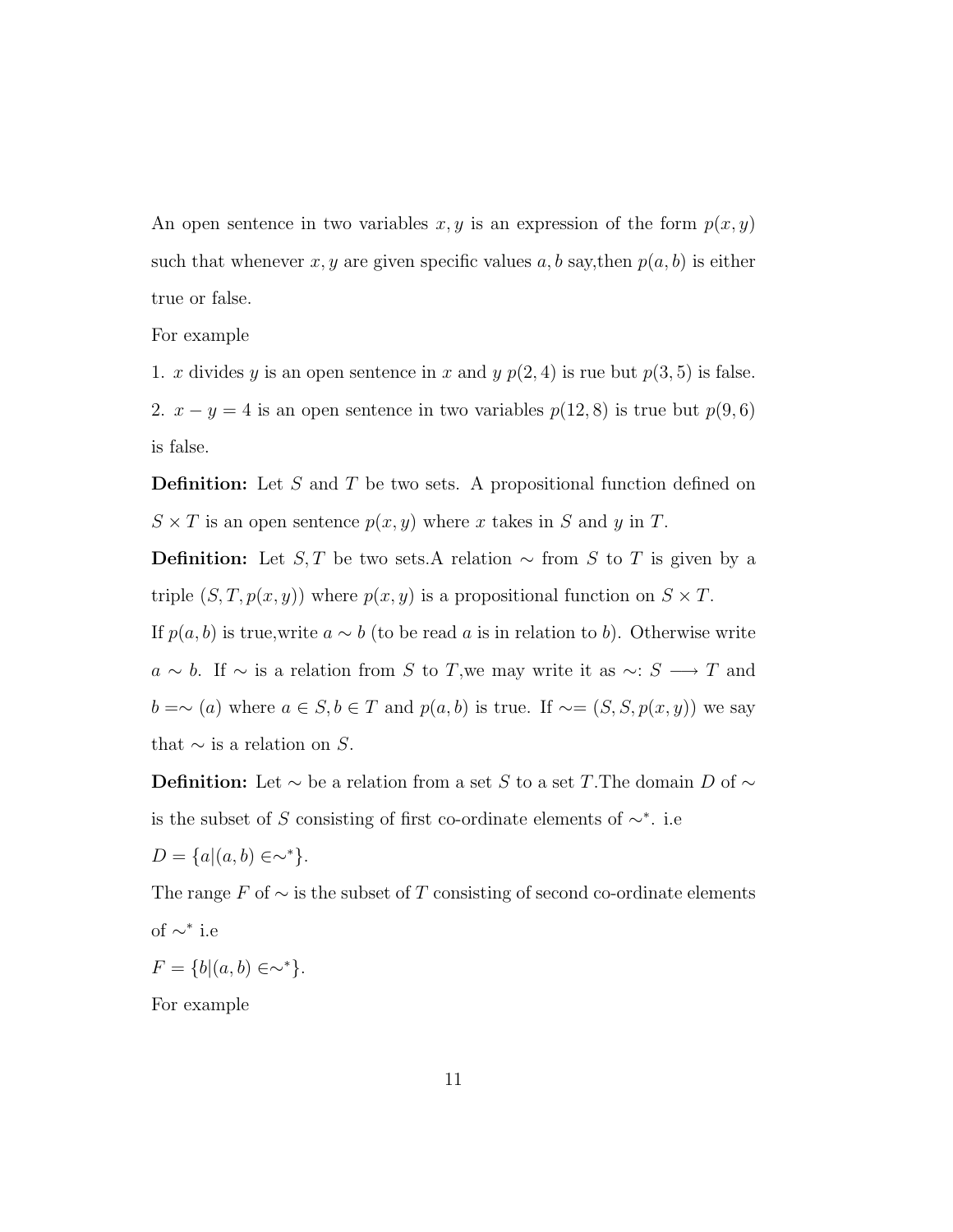An open sentence in two variables  $x, y$  is an expression of the form  $p(x, y)$ such that whenever x, y are given specific values a, b say, then  $p(a, b)$  is either true or false.

For example

1. x divides y is an open sentence in x and y  $p(2, 4)$  is rue but  $p(3, 5)$  is false. 2.  $x - y = 4$  is an open sentence in two variables  $p(12, 8)$  is true but  $p(9, 6)$ is false.

**Definition:** Let S and T be two sets. A propositional function defined on  $S \times T$  is an open sentence  $p(x, y)$  where x takes in S and y in T.

**Definition:** Let S, T be two sets.A relation  $\sim$  from S to T is given by a triple  $(S, T, p(x, y))$  where  $p(x, y)$  is a propositional function on  $S \times T$ .

If  $p(a, b)$  is true,write  $a \sim b$  (to be read a is in relation to b). Otherwise write a ∼ b. If ∼ is a relation from S to T, we may write it as ∼: S → T and  $b = ∼ (a)$  where  $a ∈ S, b ∈ T$  and  $p(a, b)$  is true. If  $∼ = (S, S, p(x, y))$  we say that  $\sim$  is a relation on S.

**Definition:** Let  $\sim$  be a relation from a set S to a set T. The domain D of  $\sim$ is the subset of S consisting of first co-ordinate elements of  $\sim^*$ . i.e

$$
D = \{a | (a, b) \in \sim^* \}.
$$

The range  $F$  of  $\sim$  is the subset of T consisting of second co-ordinate elements of ∼<sup>∗</sup> i.e

$$
F = \{b | (a, b) \in \sim^*\}.
$$

For example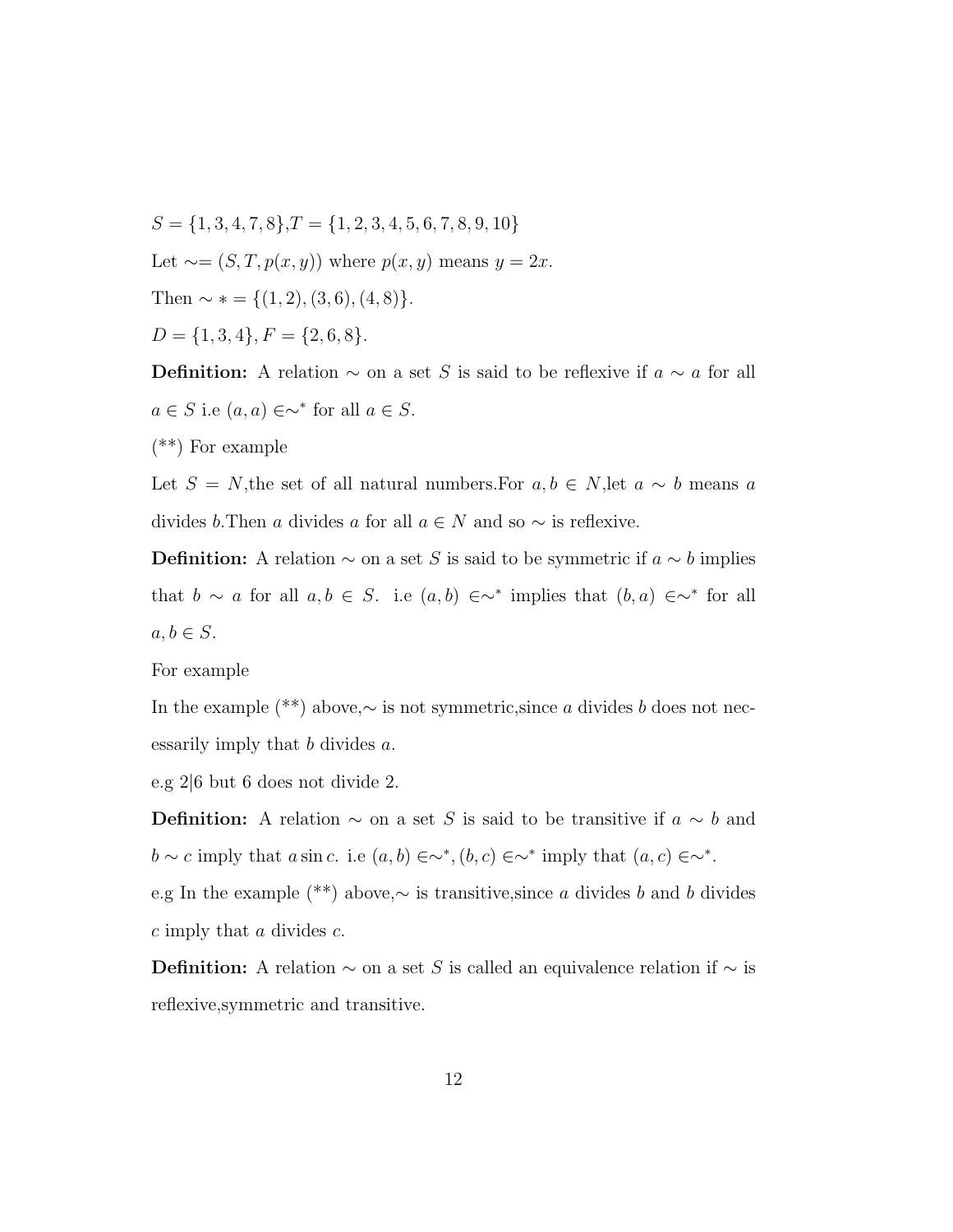$S = \{1, 3, 4, 7, 8\}, T = \{1, 2, 3, 4, 5, 6, 7, 8, 9, 10\}$ Let  $\sim=(S,T,p(x,y))$  where  $p(x,y)$  means  $y=2x$ . Then  $\sim$  \* = {(1, 2), (3, 6), (4, 8)}.  $D = \{1,3,4\}, F = \{2,6,8\}.$ 

**Definition:** A relation  $\sim$  on a set S is said to be reflexive if  $a \sim a$  for all  $a \in S$  i.e  $(a, a) \in \sim^*$  for all  $a \in S$ .

(\*\*) For example

Let  $S = N$ , the set of all natural numbers. For  $a, b \in N$ , let  $a \sim b$  means a divides *b*.Then *a* divides *a* for all  $a \in N$  and so  $\sim$  is reflexive.

**Definition:** A relation  $\sim$  on a set S is said to be symmetric if  $a \sim b$  implies that  $b \sim a$  for all  $a, b \in S$ . i.e  $(a, b) \in \sim^*$  implies that  $(b, a) \in \sim^*$  for all  $a, b \in S$ .

For example

In the example (\*\*) above, $\sim$  is not symmetric, since a divides b does not necessarily imply that b divides a.

e.g 2|6 but 6 does not divide 2.

**Definition:** A relation  $\sim$  on a set S is said to be transitive if  $a \sim b$  and  $b \sim c$  imply that a sin c. i.e  $(a, b) \in \sim^*$ ,  $(b, c) \in \sim^*$  imply that  $(a, c) \in \sim^*$ .

e.g In the example (\*\*) above, $\sim$  is transitive, since a divides b and b divides c imply that a divides c.

**Definition:** A relation  $\sim$  on a set S is called an equivalence relation if  $\sim$  is reflexive,symmetric and transitive.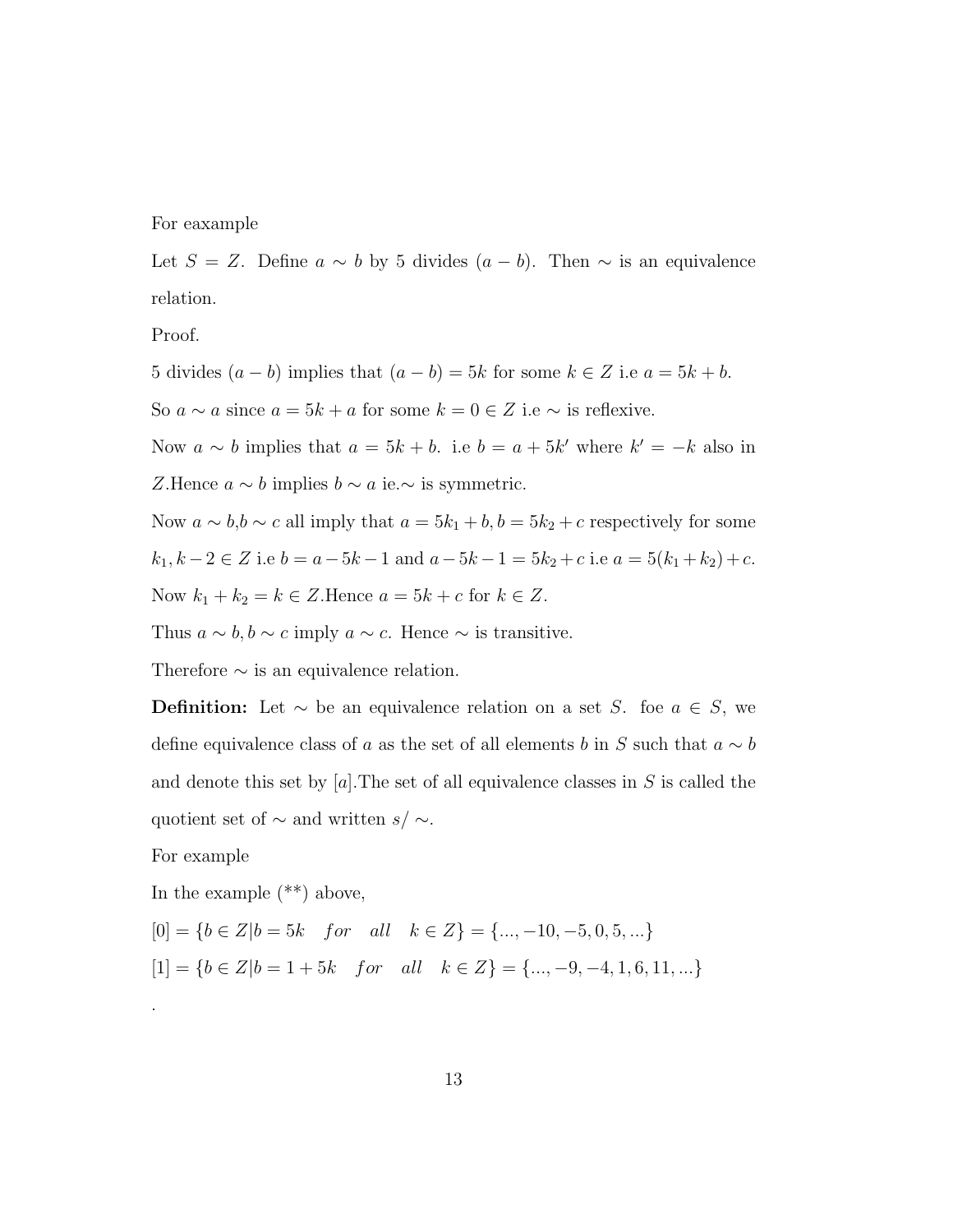For eaxample

Let  $S = Z$ . Define  $a \sim b$  by 5 divides  $(a - b)$ . Then  $\sim$  is an equivalence relation.

Proof.

5 divides  $(a - b)$  implies that  $(a - b) = 5k$  for some  $k \in \mathbb{Z}$  i.e  $a = 5k + b$ .

So  $a \sim a$  since  $a = 5k + a$  for some  $k = 0 \in \mathbb{Z}$  i.e  $\sim$  is reflexive.

Now  $a \sim b$  implies that  $a = 5k + b$ . i.e  $b = a + 5k'$  where  $k' = -k$  also in Z.Hence  $a \sim b$  implies  $b \sim a$  ie. $\sim$  is symmetric.

Now  $a \sim b, b \sim c$  all imply that  $a = 5k_1 + b, b = 5k_2 + c$  respectively for some  $k_1, k - 2 \in \mathbb{Z}$  i.e  $b = a - 5k - 1$  and  $a - 5k - 1 = 5k_2 + c$  i.e  $a = 5(k_1 + k_2) + c$ . Now  $k_1 + k_2 = k \in \mathbb{Z}$ . Hence  $a = 5k + c$  for  $k \in \mathbb{Z}$ .

Thus  $a \sim b, b \sim c$  imply  $a \sim c$ . Hence  $\sim$  is transitive.

Therefore  $\sim$  is an equivalence relation.

**Definition:** Let  $\sim$  be an equivalence relation on a set S. foe  $a \in S$ , we define equivalence class of a as the set of all elements b in S such that  $a \sim b$ and denote this set by  $[a]$ . The set of all equivalence classes in S is called the quotient set of  $\sim$  and written s/ $\sim$ .

For example

.

In the example (\*\*) above,

$$
[0] = \{b \in Z | b = 5k \text{ for all } k \in Z\} = \{\dots, -10, -5, 0, 5, \dots\}
$$

$$
[1] = \{b \in Z | b = 1 + 5k \text{ for all } k \in Z\} = \{\dots, -9, -4, 1, 6, 11, \dots\}
$$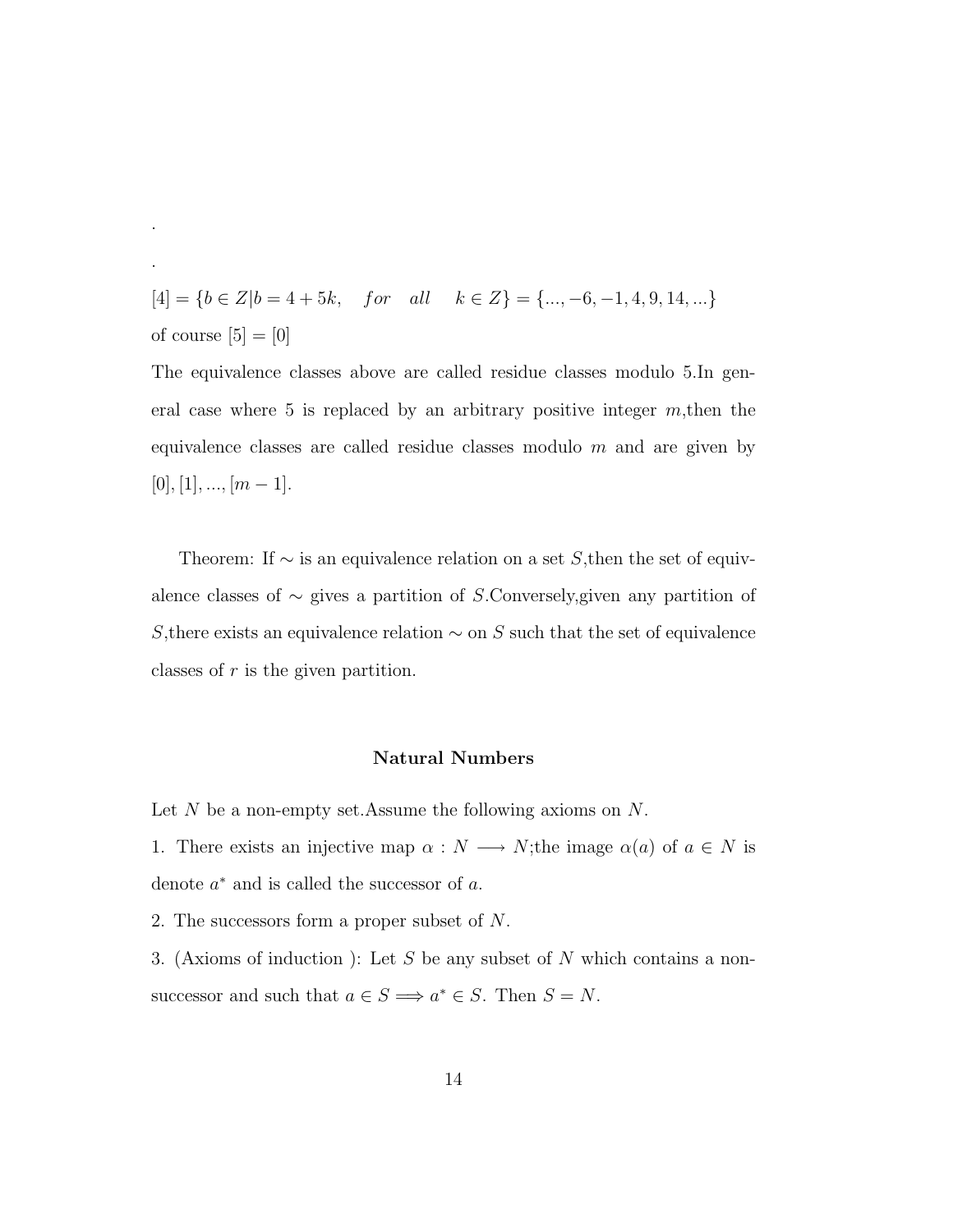$[4] = \{b \in Z | b = 4 + 5k, \quad for \quad all \quad k \in Z\} = \{\ldots, -6, -1, 4, 9, 14, \ldots\}$ of course  $[5] = [0]$ 

.

.

The equivalence classes above are called residue classes modulo 5.In general case where 5 is replaced by an arbitrary positive integer  $m$ , then the equivalence classes are called residue classes modulo  $m$  and are given by  $[0], [1], ..., [m-1].$ 

Theorem: If  $\sim$  is an equivalence relation on a set S, then the set of equivalence classes of  $\sim$  gives a partition of S.Conversely, given any partition of S, there exists an equivalence relation  $\sim$  on S such that the set of equivalence classes of r is the given partition.

#### Natural Numbers

Let N be a non-empty set. Assume the following axioms on N.

1. There exists an injective map  $\alpha : N \longrightarrow N$ ; the image  $\alpha(a)$  of  $a \in N$  is denote  $a^*$  and is called the successor of  $a$ .

2. The successors form a proper subset of N.

3. (Axioms of induction ): Let S be any subset of N which contains a nonsuccessor and such that  $a \in S \Longrightarrow a^* \in S$ . Then  $S = N$ .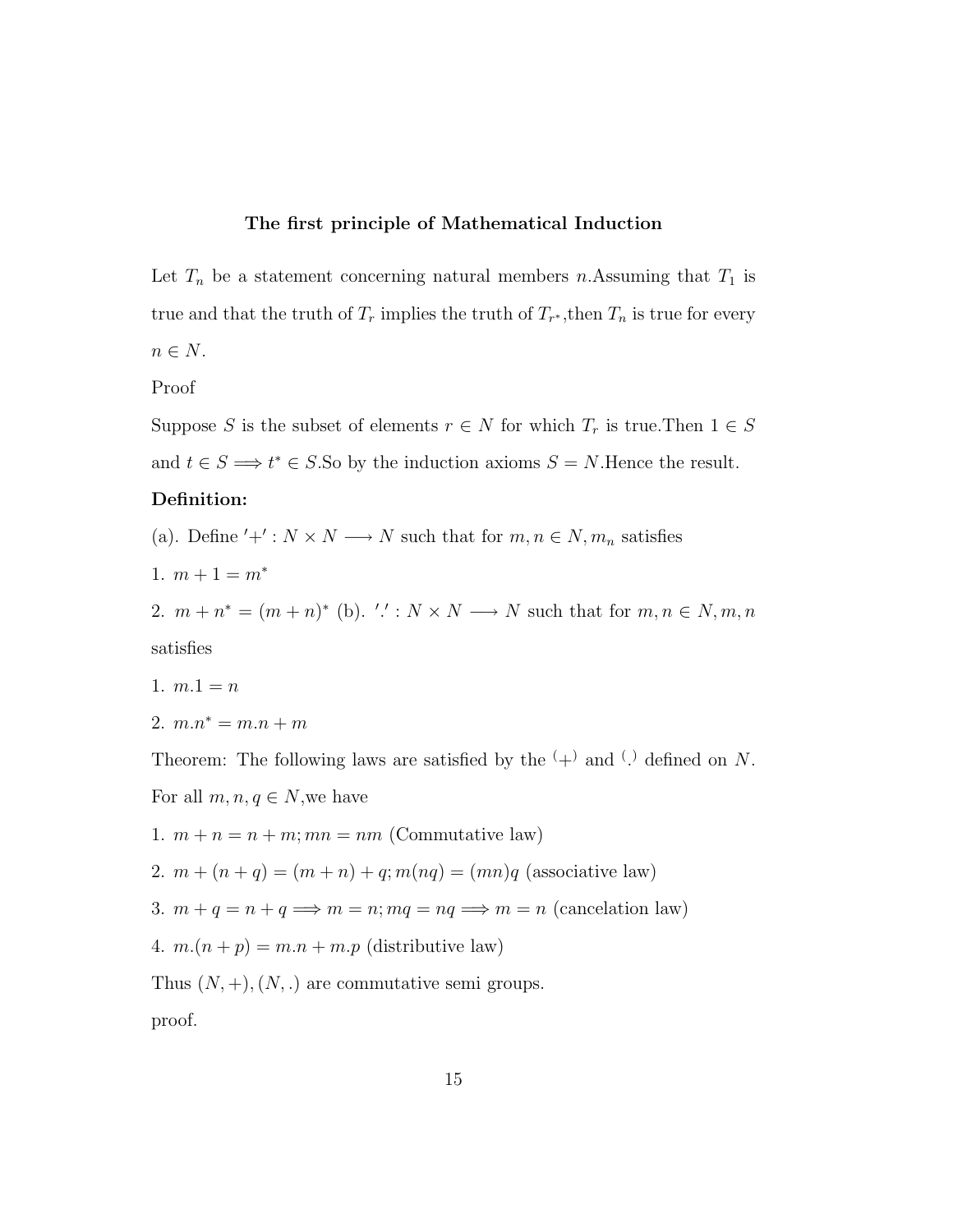#### The first principle of Mathematical Induction

Let  $T_n$  be a statement concerning natural members n.Assuming that  $T_1$  is true and that the truth of  $T_r$  implies the truth of  $T_{r^*}$ , then  $T_n$  is true for every  $n \in N$ .

Proof

Suppose S is the subset of elements  $r \in N$  for which  $T_r$  is true. Then  $1 \in S$ and  $t \in S \Longrightarrow t^* \in S$ . So by the induction axioms  $S = N$ . Hence the result.

#### Definition:

(a). Define  $'+' : N \times N \longrightarrow N$  such that for  $m, n \in N, m_n$  satisfies

1.  $m + 1 = m^*$ 

2.  $m + n^* = (m + n)^*$  (b).  $'': N \times N \longrightarrow N$  such that for  $m, n \in N, m, n$ satisfies

1.  $m.1 = n$ 

2.  $m.n^* = m.n + m$ 

Theorem: The following laws are satisfied by the  $(+)$  and  $()$  defined on N. For all  $m, n, q \in N$ , we have

1.  $m + n = n + m$ ;  $mn = nm$  (Commutative law)

2.  $m + (n + q) = (m + n) + q$ ;  $m(nq) = (mn)q$  (associative law)

3. 
$$
m + q = n + q \implies m = n; mq = nq \implies m = n
$$
 (cancellation law)

4.  $m.(n + p) = m.n + m.p$  (distributive law)

Thus  $(N, +), (N, .)$  are commutative semi groups.

proof.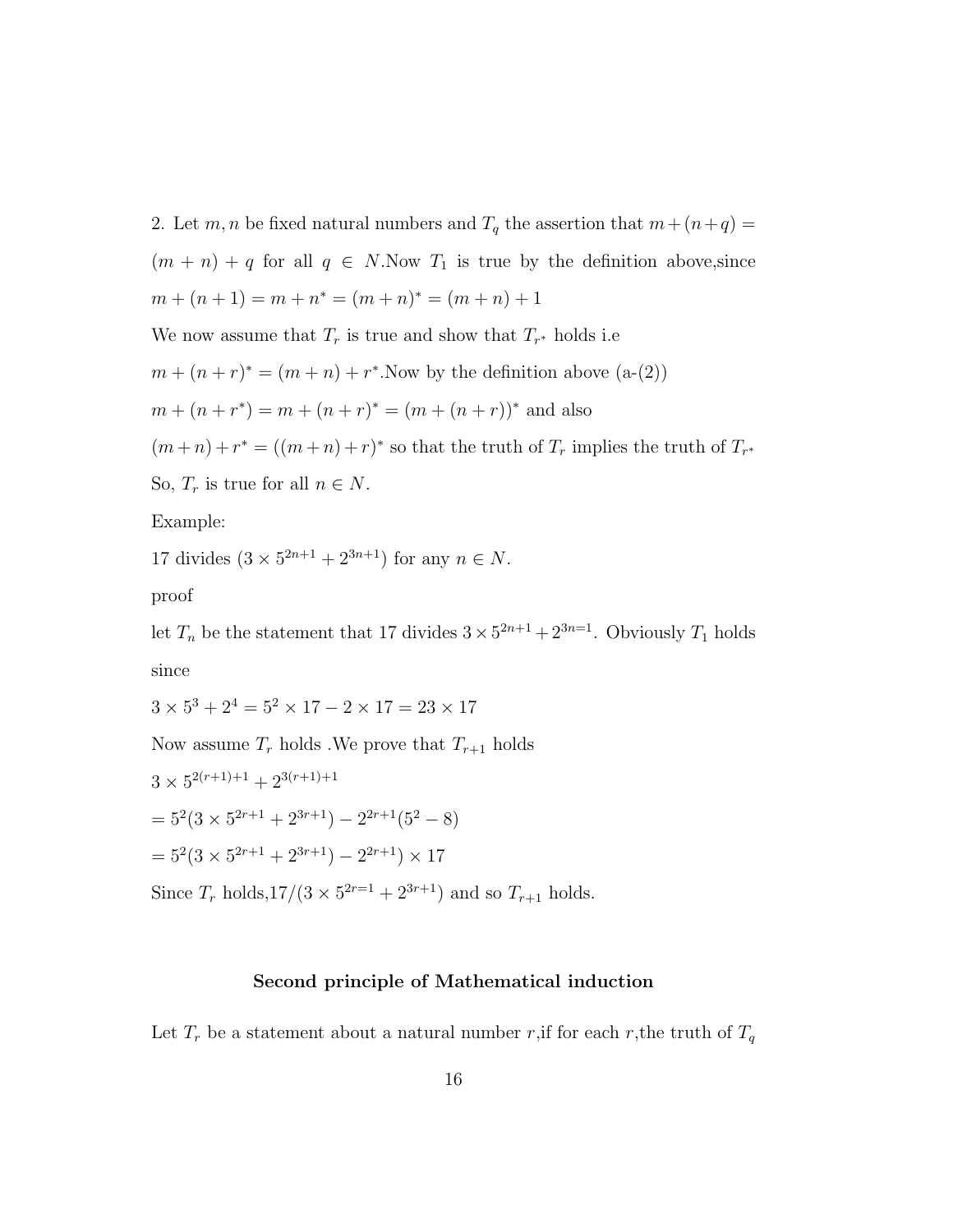2. Let  $m, n$  be fixed natural numbers and  $T_q$  the assertion that  $m + (n+q) =$  $(m + n) + q$  for all  $q \in N$ . Now  $T_1$  is true by the definition above, since  $m + (n + 1) = m + n^* = (m + n)^* = (m + n) + 1$ 

We now assume that  $T_r$  is true and show that  $T_{r^*}$  holds i.e

 $m + (n + r)^* = (m + n) + r^*$ . Now by the definition above  $(a-(2))$ 

 $m + (n + r^*) = m + (n + r)^* = (m + (n + r))^*$  and also

 $(m+n)+r^* = ((m+n)+r)^*$  so that the truth of  $T_r$  implies the truth of  $T_{r^*}$ 

So,  $T_r$  is true for all  $n \in N$ .

Example:

17 divides  $(3 \times 5^{2n+1} + 2^{3n+1})$  for any  $n \in N$ .

proof

let  $T_n$  be the statement that 17 divides  $3 \times 5^{2n+1} + 2^{3n=1}$ . Obviously  $T_1$  holds since

 $3 \times 5^3 + 2^4 = 5^2 \times 17 - 2 \times 17 = 23 \times 17$ 

Now assume  $T_r$  holds . We prove that  $T_{r+1}$  holds

$$
3 \times 5^{2(r+1)+1} + 2^{3(r+1)+1}
$$

$$
=52(3 \times 52r+1 + 23r+1) - 22r+1(52 – 8)
$$

$$
= 52(3 \times 52r+1 + 23r+1) - 22r+1) \times 17
$$

Since  $T_r$  holds,  $17/(3 \times 5^{2r-1} + 2^{3r+1})$  and so  $T_{r+1}$  holds.

#### Second principle of Mathematical induction

Let  $T_r$  be a statement about a natural number r, if for each r, the truth of  $T_q$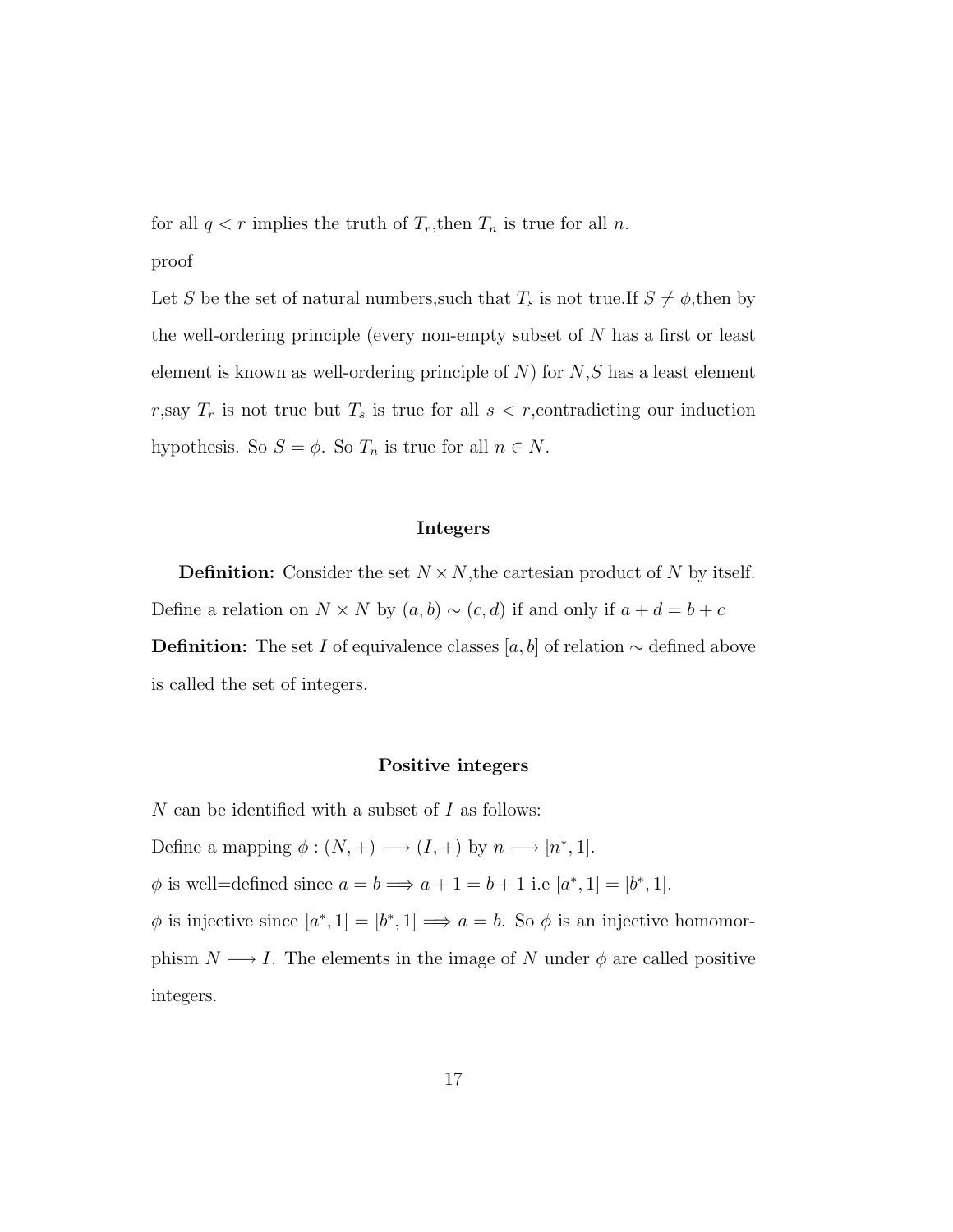for all  $q < r$  implies the truth of  $T_r$ , then  $T_n$  is true for all n.

proof

Let S be the set of natural numbers, such that  $T_s$  is not true. If  $S \neq \phi$ , then by the well-ordering principle (every non-empty subset of N has a first or least element is known as well-ordering principle of  $N$ ) for  $N, S$  has a least element r, say  $T_r$  is not true but  $T_s$  is true for all  $s < r$ , contradicting our induction hypothesis. So  $S = \phi$ . So  $T_n$  is true for all  $n \in N$ .

#### Integers

**Definition:** Consider the set  $N \times N$ , the cartesian product of N by itself. Define a relation on  $N \times N$  by  $(a, b) \sim (c, d)$  if and only if  $a + d = b + c$ **Definition:** The set I of equivalence classes [a, b] of relation  $\sim$  defined above is called the set of integers.

#### Positive integers

N can be identified with a subset of  $I$  as follows:

Define a mapping  $\phi: (N, +) \longrightarrow (I, +)$  by  $n \longrightarrow [n^*, 1]$ .

 $\phi$  is well=defined since  $a = b \Longrightarrow a + 1 = b + 1$  i.e  $[a^*, 1] = [b^*, 1]$ .

 $\phi$  is injective since  $[a^*, 1] = [b^*, 1] \Longrightarrow a = b$ . So  $\phi$  is an injective homomorphism  $N \longrightarrow I$ . The elements in the image of N under  $\phi$  are called positive integers.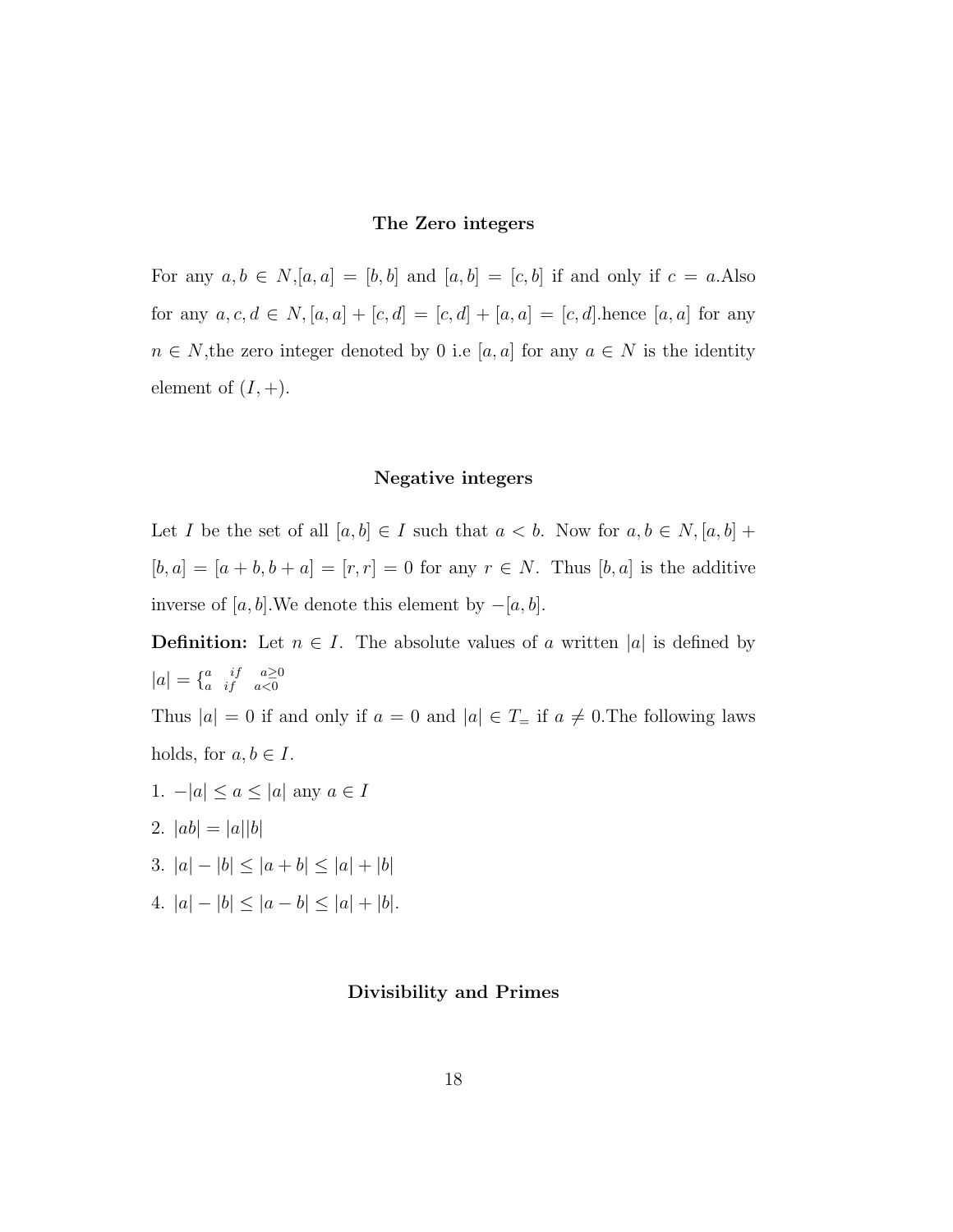## The Zero integers

For any  $a, b \in N$ ,  $[a, a] = [b, b]$  and  $[a, b] = [c, b]$  if and only if  $c = a$ . Also for any  $a, c, d \in N$ ,  $[a, a] + [c, d] = [c, d] + [a, a] = [c, d]$ .hence  $[a, a]$  for any  $n \in N$ , the zero integer denoted by 0 i.e [a, a] for any  $a \in N$  is the identity element of  $(I, +)$ .

# Negative integers

Let I be the set of all  $[a, b] \in I$  such that  $a < b$ . Now for  $a, b \in N$ ,  $[a, b]$  +  $[b, a] = [a + b, b + a] = [r, r] = 0$  for any  $r \in N$ . Thus  $[b, a]$  is the additive inverse of  $[a, b]$ . We denote this element by  $-[a, b]$ .

**Definition:** Let  $n \in I$ . The absolute values of a written |a| is defined by  $|a| = \begin{cases} a & if & a \ge 0 \\ a & if & a < 0 \end{cases}$  $a \quad if \quad a < 0$ Thus  $|a| = 0$  if and only if  $a = 0$  and  $|a| \in T_{\pm}$  if  $a \neq 0$ . The following laws

- holds, for  $a, b \in I$ .
- 1.  $-|a| \le a \le |a|$  any  $a \in I$
- 2.  $|ab| = |a||b|$
- 3.  $|a| |b| \le |a + b| \le |a| + |b|$
- 4.  $|a| |b| \leq |a b| \leq |a| + |b|$ .

# Divisibility and Primes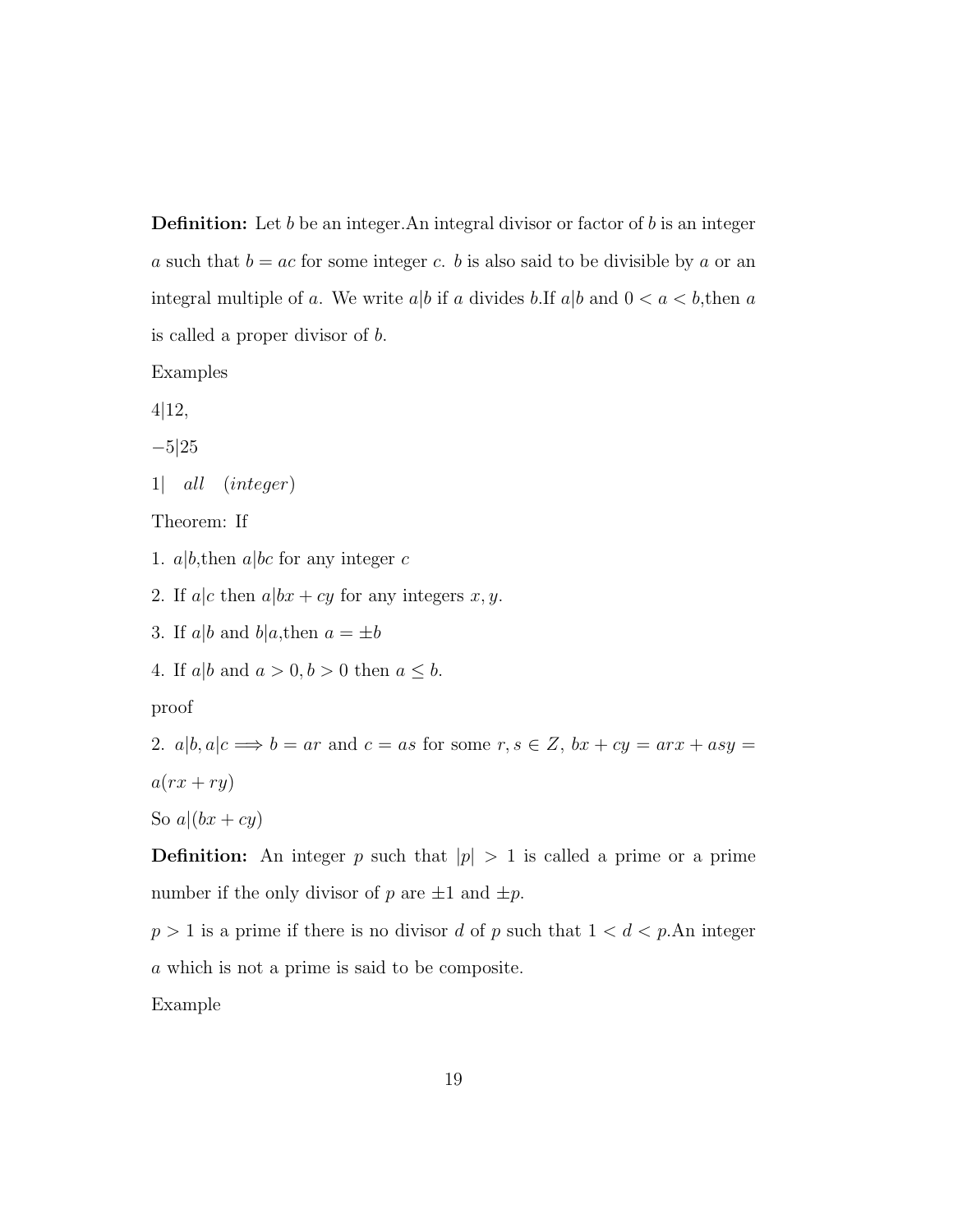**Definition:** Let b be an integer. An integral divisor or factor of b is an integer a such that  $b = ac$  for some integer c. b is also said to be divisible by a or an integral multiple of a. We write  $a|b$  if a divides b.If  $a|b$  and  $0 < a < b$ , then a is called a proper divisor of b.

Examples

4|12,

 $-5|25$ 

1| all (integer)

Theorem: If

1. a|b,then a|bc for any integer c

2. If  $a|c$  then  $a|bx + cy$  for any integers  $x, y$ .

3. If  $a|b$  and  $b|a$ , then  $a = \pm b$ 

4. If  $a|b$  and  $a > 0, b > 0$  then  $a \leq b$ .

proof

```
2. a|b, a|c \implies b = ar and c = as for some r, s \in Z, bx + cy = arx + asy =
```

```
a(rx+ry)
```
So  $a|(bx+cy)$ 

**Definition:** An integer p such that  $|p| > 1$  is called a prime or a prime number if the only divisor of p are  $\pm 1$  and  $\pm p$ .

 $p > 1$  is a prime if there is no divisor d of p such that  $1 < d < p$ . An integer a which is not a prime is said to be composite.

Example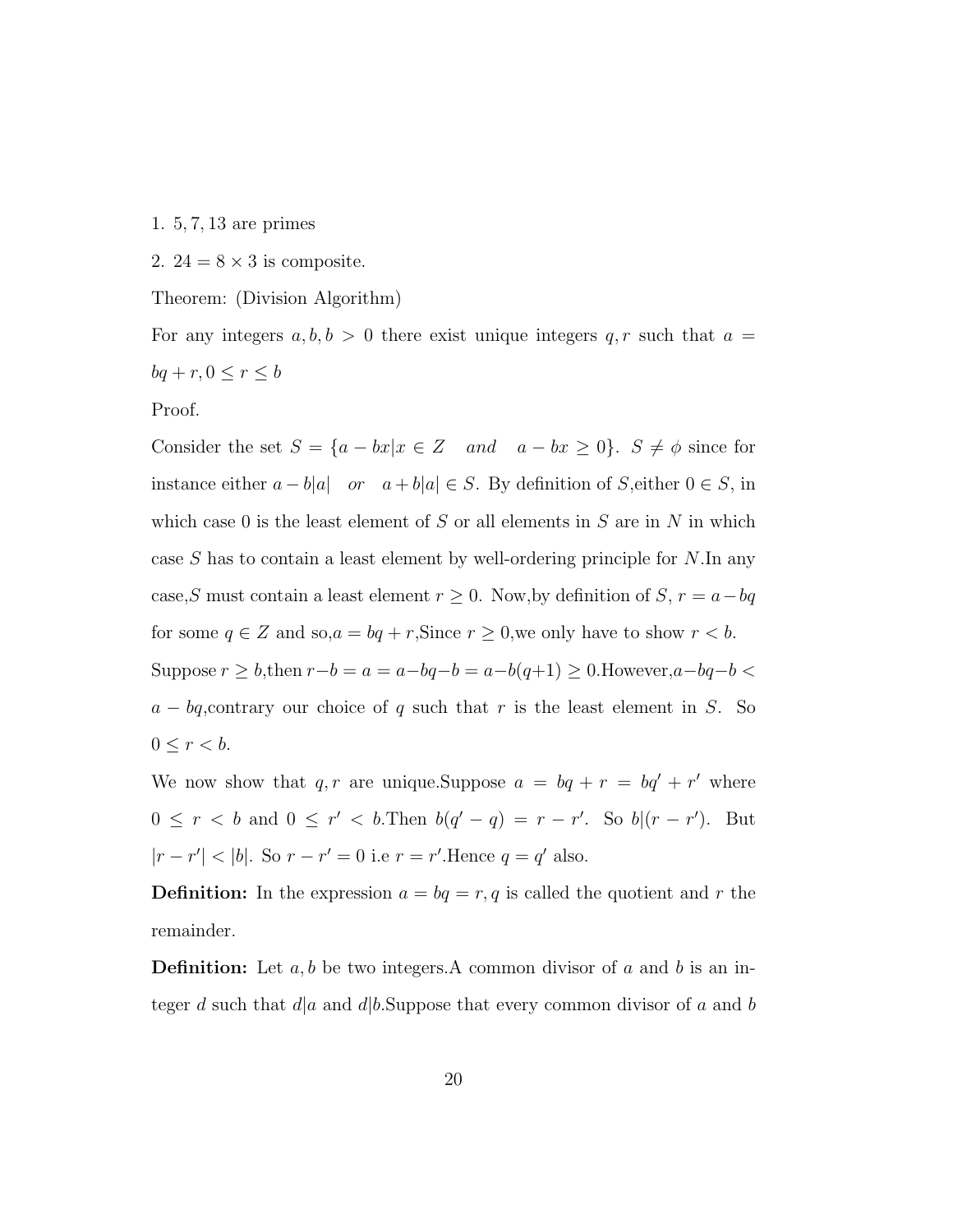1. 5, 7, 13 are primes

2.  $24 = 8 \times 3$  is composite.

Theorem: (Division Algorithm)

For any integers  $a, b, b > 0$  there exist unique integers  $q, r$  such that  $a =$  $bq+r, 0\leq r\leq b$ 

Proof.

Consider the set  $S = \{a - bx | x \in Z \text{ and } a - bx \ge 0\}$ .  $S \ne \emptyset$  since for instance either  $a - b|a|$  or  $a + b|a| \in S$ . By definition of S, either  $0 \in S$ , in which case 0 is the least element of  $S$  or all elements in  $S$  are in  $N$  in which case  $S$  has to contain a least element by well-ordering principle for  $N$ . In any case,S must contain a least element  $r \geq 0$ . Now, by definition of S,  $r = a - bq$ for some  $q \in Z$  and so, $a = bq + r$ , Since  $r \ge 0$ , we only have to show  $r < b$ . Suppose  $r \ge b$ , then  $r - b = a = a - bq - b = a - b(q+1) \ge 0$ . However,  $a - bq - b < a$  $a - bq$ , contrary our choice of q such that r is the least element in S. So  $0 \leq r < b$ .

We now show that q, r are unique. Suppose  $a = bq + r = bq' + r'$  where  $0 \leq r < b$  and  $0 \leq r' < b$ . Then  $b(q'-q) = r - r'$ . So  $b|(r-r')$ . But  $|r - r'| < |b|$ . So  $r - r' = 0$  i.e  $r = r'$ . Hence  $q = q'$  also.

**Definition:** In the expression  $a = bq = r, q$  is called the quotient and r the remainder.

**Definition:** Let  $a, b$  be two integers. A common divisor of  $a$  and  $b$  is an integer d such that  $d|a$  and  $d|b$ . Suppose that every common divisor of a and b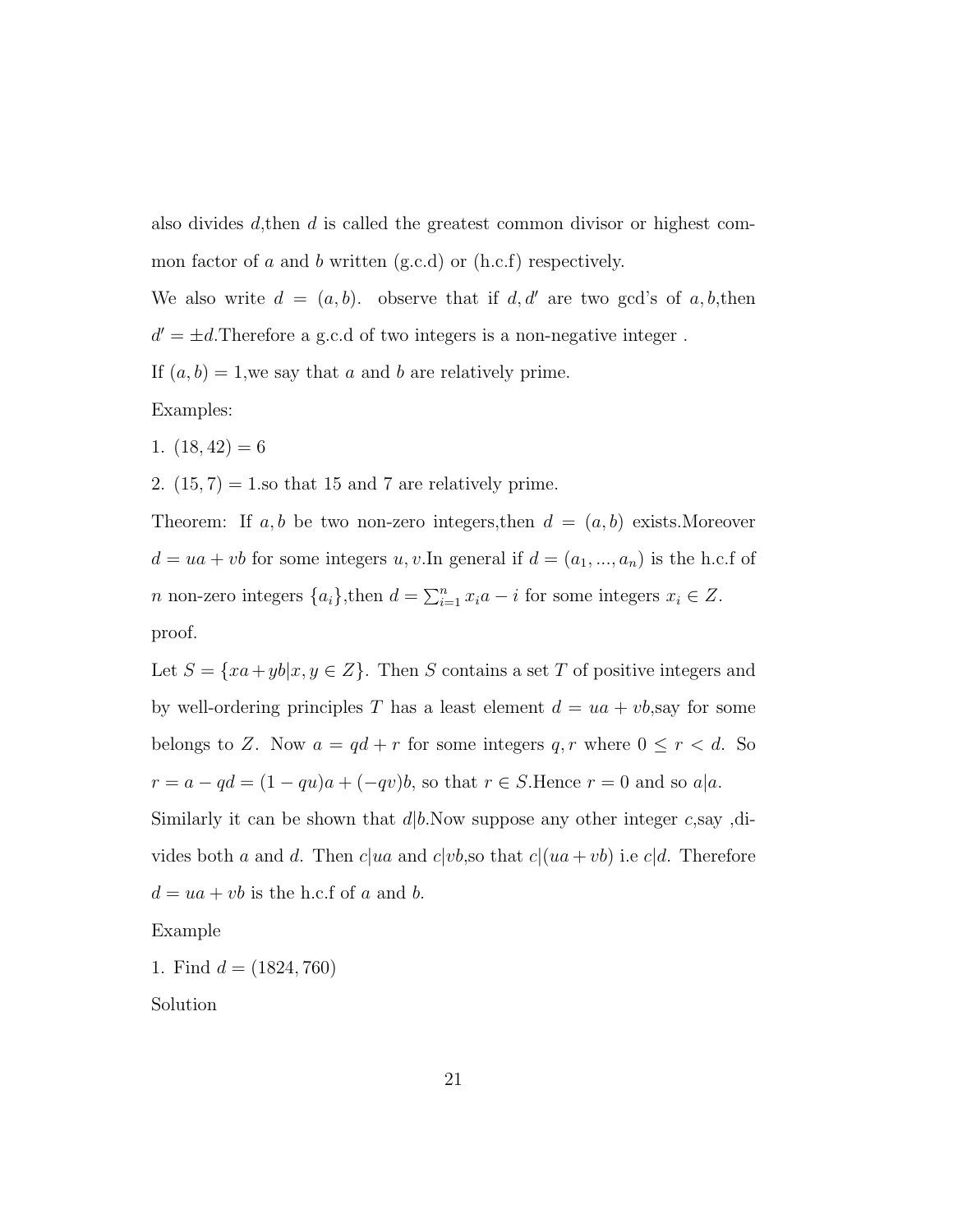also divides d,then d is called the greatest common divisor or highest common factor of a and b written  $(g.c.d)$  or  $(h.c.f)$  respectively.

We also write  $d = (a, b)$ . observe that if  $d, d'$  are two gcd's of a, b, then  $d' = \pm d$ . Therefore a g.c.d of two integers is a non-negative integer.

If  $(a, b) = 1$ , we say that a and b are relatively prime.

Examples:

1.  $(18, 42) = 6$ 

2.  $(15, 7) = 1$  so that 15 and 7 are relatively prime.

Theorem: If  $a, b$  be two non-zero integers, then  $d = (a, b)$  exists. Moreover  $d = ua + vb$  for some integers u, v.In general if  $d = (a_1, ..., a_n)$  is the h.c.f of *n* non-zero integers  $\{a_i\}$ , then  $d = \sum_{i=1}^n x_i a - i$  for some integers  $x_i \in Z$ . proof.

Let  $S = \{xa + yb|x, y \in Z\}$ . Then S contains a set T of positive integers and by well-ordering principles T has a least element  $d = ua + vb$ , say for some belongs to Z. Now  $a = qd + r$  for some integers  $q, r$  where  $0 \le r < d$ . So  $r = a - qd = (1 - qu)a + (-qv)b$ , so that  $r \in S$ . Hence  $r = 0$  and so  $a|a$ .

Similarly it can be shown that  $d\mid b$ . Now suppose any other integer c, say , divides both a and d. Then c|ua and c|vb, so that c|(ua + vb) i.e c|d. Therefore  $d = ua + vb$  is the h.c.f of a and b.

Example

1. Find  $d = (1824, 760)$ 

Solution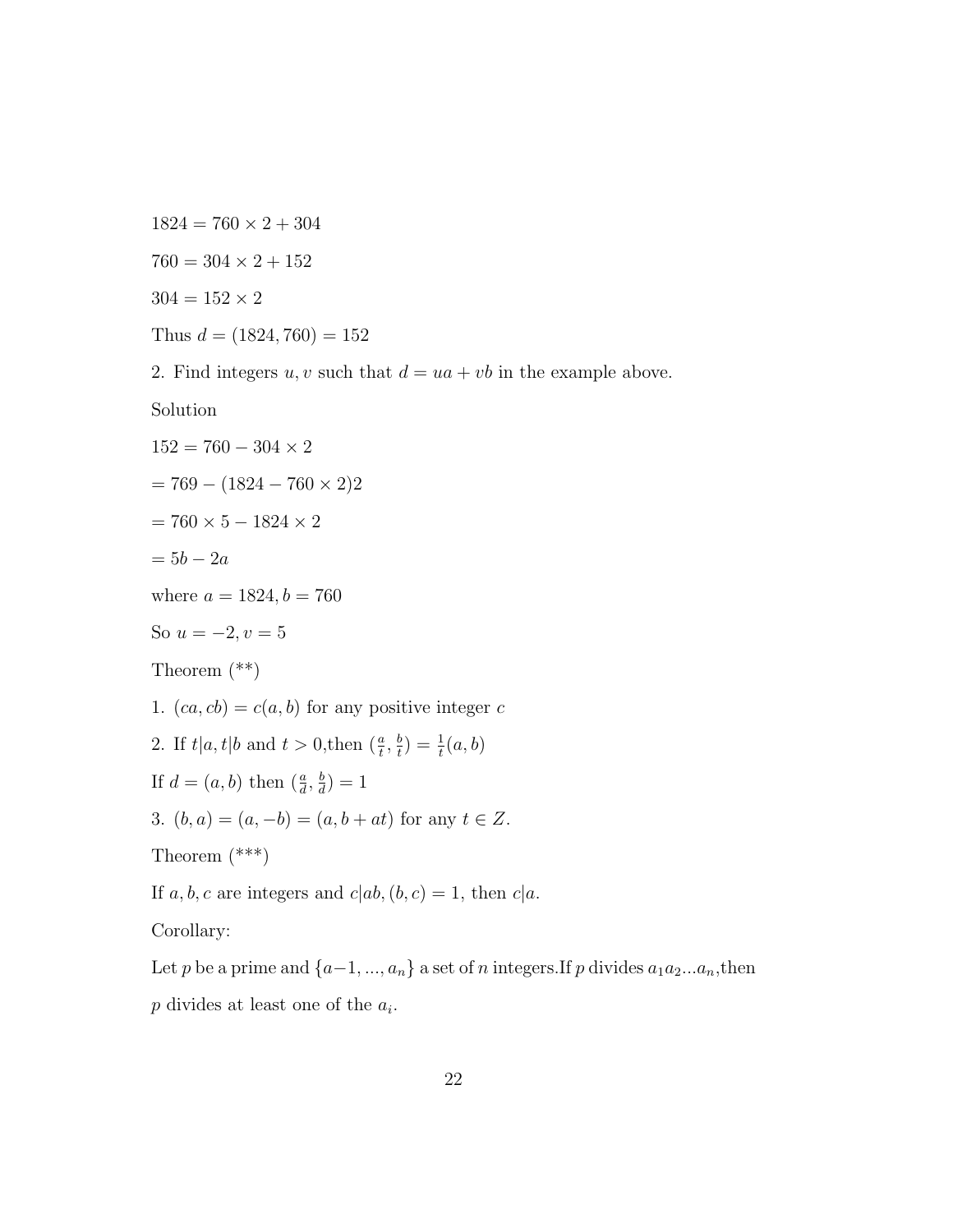$1824 = 760 \times 2 + 304$ 

 $760 = 304 \times 2 + 152$ 

$$
304 = 152 \times 2
$$

Thus  $d = (1824, 760) = 152$ 

2. Find integers u, v such that  $d = ua + vb$  in the example above.

Solution

 $152 = 760 - 304 \times 2$  $= 769 - (1824 - 760 \times 2)2$  $= 760 \times 5 - 1824 \times 2$  $= 5b - 2a$ where  $a = 1824, b = 760$ So  $u = -2, v = 5$ Theorem (\*\*) 1.  $(ca, cb) = c(a, b)$  for any positive integer c 2. If  $t|a, t|b$  and  $t > 0$ , then  $\left(\frac{a}{t}, \frac{b}{t}\right)$  $(\frac{b}{t}) = \frac{1}{t}(a, b)$ If  $d = (a, b)$  then  $(\frac{a}{d}, \frac{b}{d})$  $\frac{b}{d}$ ) = 1 3.  $(b, a) = (a, -b) = (a, b + at)$  for any  $t \in Z$ . Theorem (\*\*\*) If a, b, c are integers and  $c|ab$ ,  $(b, c) = 1$ , then  $c|a$ .

Corollary:

Let p be a prime and  $\{a-1, ..., a_n\}$  a set of n integers. If p divides  $a_1a_2...a_n$ , then  $p$  divides at least one of the  $a_i$ .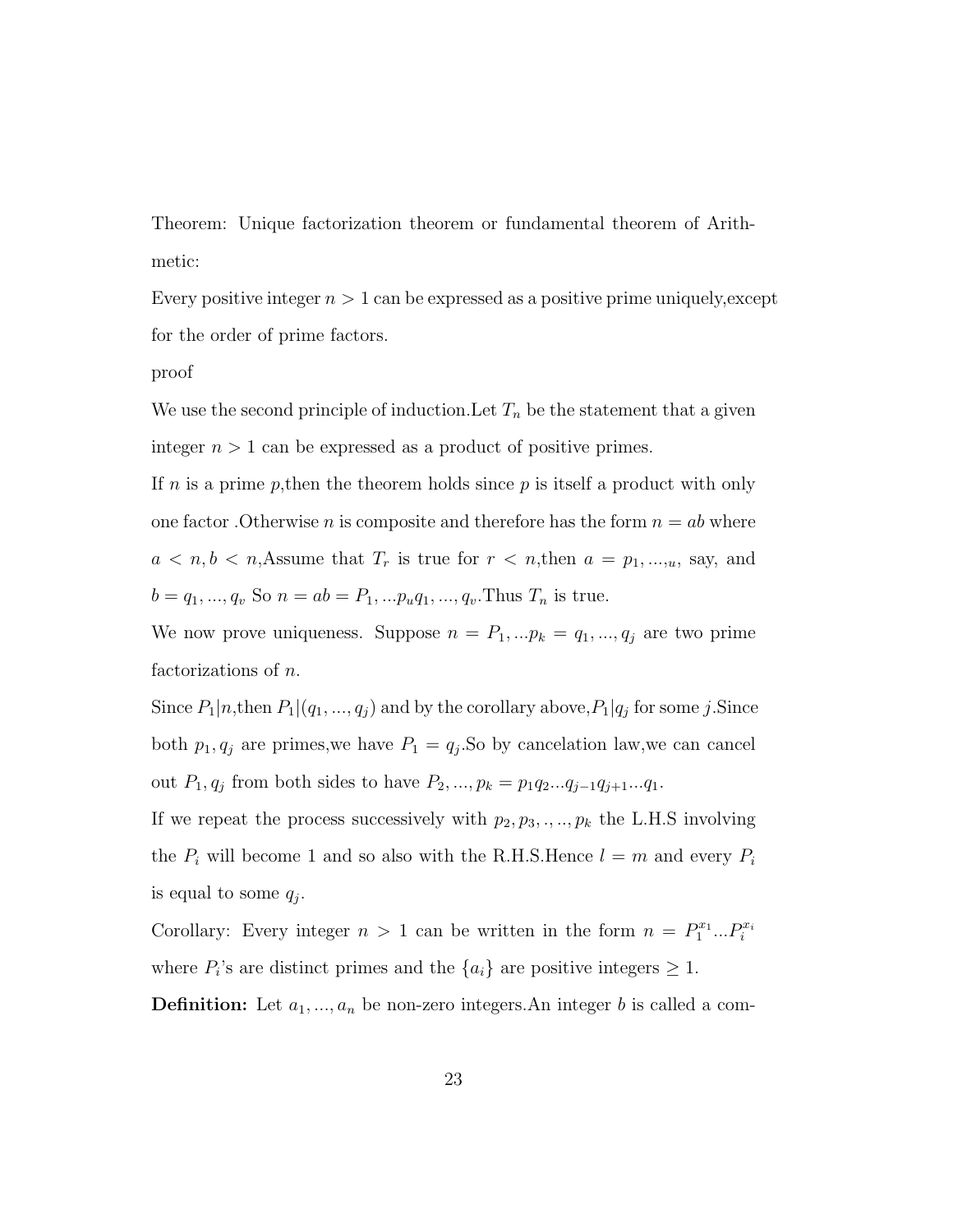Theorem: Unique factorization theorem or fundamental theorem of Arithmetic:

Every positive integer  $n > 1$  can be expressed as a positive prime uniquely, except for the order of prime factors.

#### proof

We use the second principle of induction. Let  $T_n$  be the statement that a given integer  $n > 1$  can be expressed as a product of positive primes.

If n is a prime p, then the theorem holds since  $p$  is itself a product with only one factor . Otherwise n is composite and therefore has the form  $n = ab$  where  $a < n, b < n$ , Assume that  $T_r$  is true for  $r < n$ , then  $a = p_1, \ldots, u$ , say, and  $b = q_1, ..., q_v$  So  $n = ab = P_1, ..., p_u q_1, ..., q_v$ . Thus  $T_n$  is true.

We now prove uniqueness. Suppose  $n = P_1, \ldots, P_k = q_1, \ldots, q_j$  are two prime factorizations of n.

Since  $P_1|n,$  then  $P_1|(q_1,...,q_j)$  and by the corollary above,  $P_1|q_j$  for some j. Since both  $p_1, q_j$  are primes, we have  $P_1 = q_j$ . So by cancelation law, we can cancel out  $P_1, q_j$  from both sides to have  $P_2, ..., p_k = p_1 q_2 ... q_{j-1} q_{j+1} ... q_1$ .

If we repeat the process successively with  $p_2, p_3, \ldots, p_k$  the L.H.S involving the  $P_i$  will become 1 and so also with the R.H.S. Hence  $l = m$  and every  $P_i$ is equal to some  $q_j$ .

Corollary: Every integer  $n > 1$  can be written in the form  $n = P_1^{x_1} ... P_i^{x_i}$ where  $P_i$ 's are distinct primes and the  $\{a_i\}$  are positive integers  $\geq 1$ .

**Definition:** Let  $a_1, ..., a_n$  be non-zero integers. An integer b is called a com-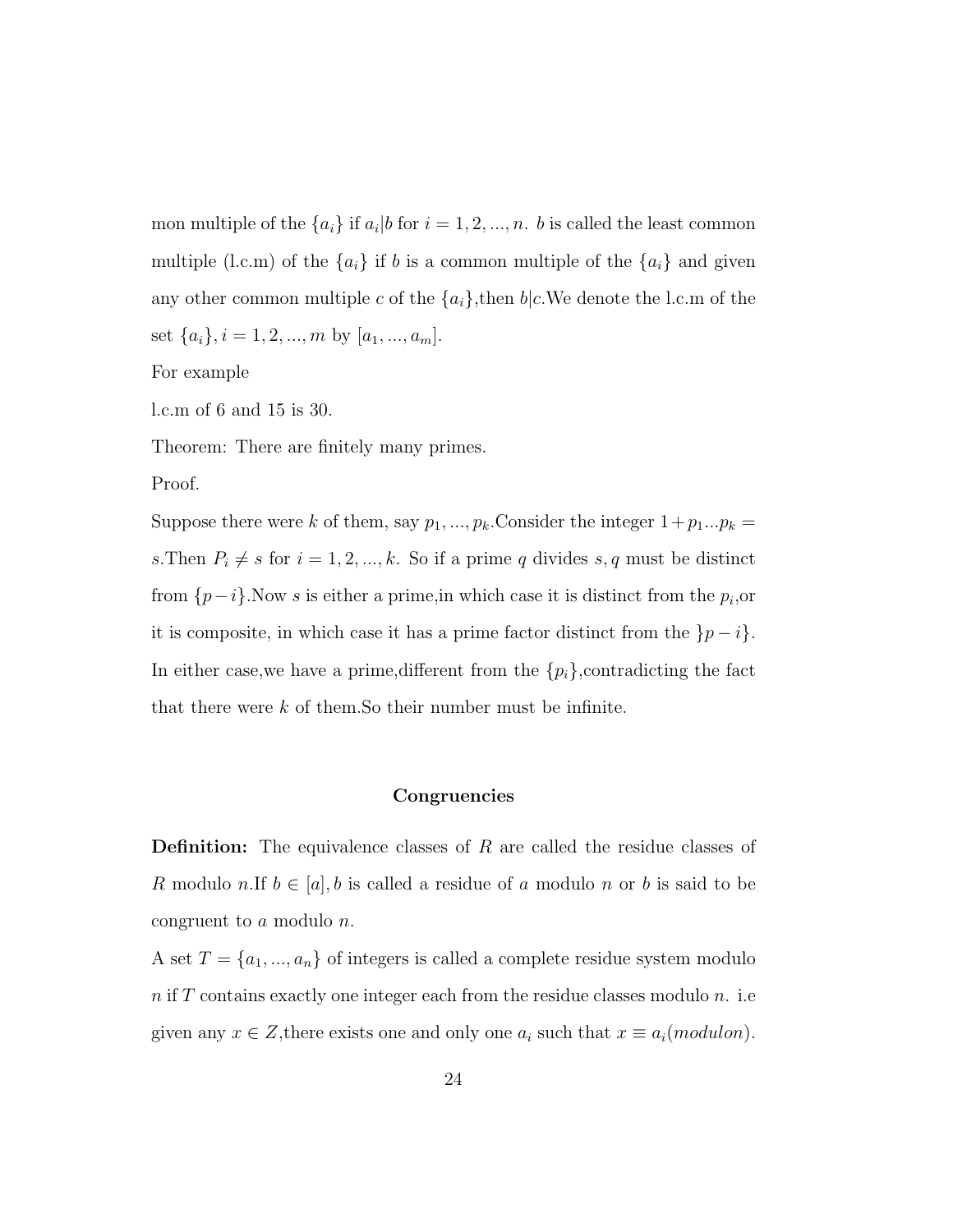mon multiple of the  ${a_i}$  if  $a_i | b$  for  $i = 1, 2, ..., n$ . b is called the least common multiple (l.c.m) of the  ${a_i}$  if b is a common multiple of the  ${a_i}$  and given any other common multiple c of the  $\{a_i\}$ , then  $b|c$ . We denote the l.c.m of the set  ${a_i}, i = 1, 2, ..., m$  by  $[a_1, ..., a_m]$ .

For example

l.c.m of 6 and 15 is 30.

Theorem: There are finitely many primes.

Proof.

Suppose there were k of them, say  $p_1, ..., p_k$ . Consider the integer  $1+p_1...p_k =$ s. Then  $P_i \neq s$  for  $i = 1, 2, ..., k$ . So if a prime q divides s, q must be distinct from  $\{p-i\}$ . Now s is either a prime, in which case it is distinct from the  $p_i$ , or it is composite, in which case it has a prime factor distinct from the  $\}p - i$ . In either case, we have a prime, different from the  $\{p_i\}$ , contradicting the fact that there were  $k$  of them. So their number must be infinite.

#### **Congruencies**

Definition: The equivalence classes of R are called the residue classes of R modulo n.If  $b \in [a], b$  is called a residue of a modulo n or b is said to be congruent to a modulo n.

A set  $T = \{a_1, ..., a_n\}$  of integers is called a complete residue system modulo  $n$  if T contains exactly one integer each from the residue classes modulo  $n$ . i.e. given any  $x \in Z$ , there exists one and only one  $a_i$  such that  $x \equiv a_i \pmod{m}$ .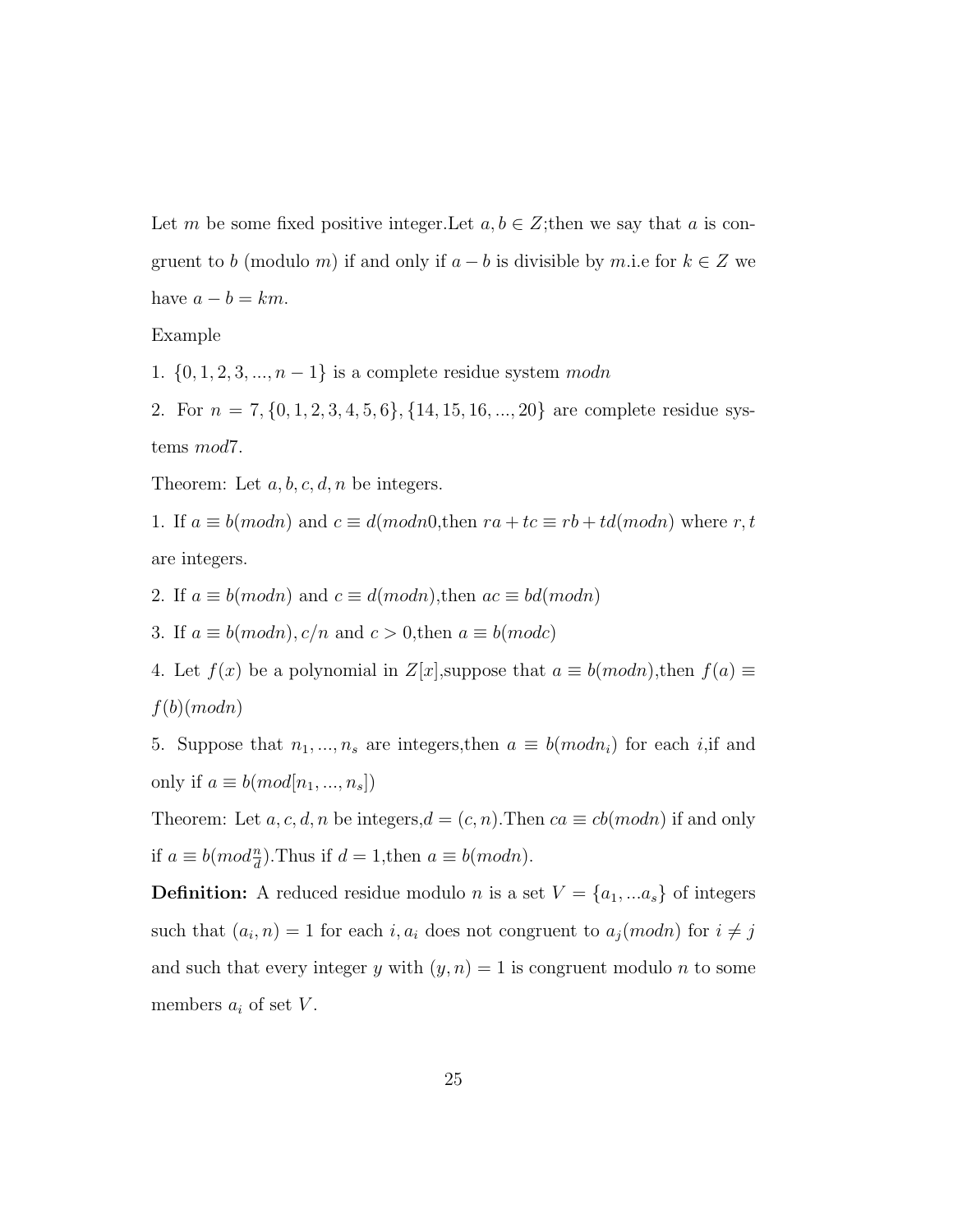Let m be some fixed positive integer. Let  $a, b \in \mathbb{Z}$ ; then we say that a is congruent to b (modulo m) if and only if  $a - b$  is divisible by m.i.e for  $k \in \mathbb{Z}$  we have  $a - b = km$ .

# Example

1.  $\{0, 1, 2, 3, ..., n-1\}$  is a complete residue system modn

2. For  $n = 7, \{0, 1, 2, 3, 4, 5, 6\}, \{14, 15, 16, ..., 20\}$  are complete residue systems mod7.

Theorem: Let  $a, b, c, d, n$  be integers.

1. If  $a \equiv b (modn)$  and  $c \equiv d (modn0,$ then  $ra + tc \equiv rb + td (modn)$  where  $r, t$ are integers.

2. If  $a \equiv b (modn)$  and  $c \equiv d (modn)$ , then  $ac \equiv bd (modn)$ 

3. If  $a \equiv b (modn), c/n$  and  $c > 0$ , then  $a \equiv b (modc)$ 

4. Let  $f(x)$  be a polynomial in  $Z[x]$ , suppose that  $a \equiv b (modn)$ , then  $f(a) \equiv$  $f(b)(modn)$ 

5. Suppose that  $n_1, ..., n_s$  are integers, then  $a \equiv b (mod n_i)$  for each i, if and only if  $a \equiv b(mod[n_1, ..., n_s])$ 

Theorem: Let  $a, c, d, n$  be integers,  $d = (c, n)$ . Then  $ca \equiv cb (mod n)$  if and only if  $a \equiv b(mod_{\frac{n}{d}})$ . Thus if  $d = 1$ , then  $a \equiv b(mod_{n})$ .

**Definition:** A reduced residue modulo *n* is a set  $V = \{a_1, \ldots a_s\}$  of integers such that  $(a_i, n) = 1$  for each  $i, a_i$  does not congruent to  $a_j (modn)$  for  $i \neq j$ and such that every integer y with  $(y, n) = 1$  is congruent modulo n to some members  $a_i$  of set  $V$ .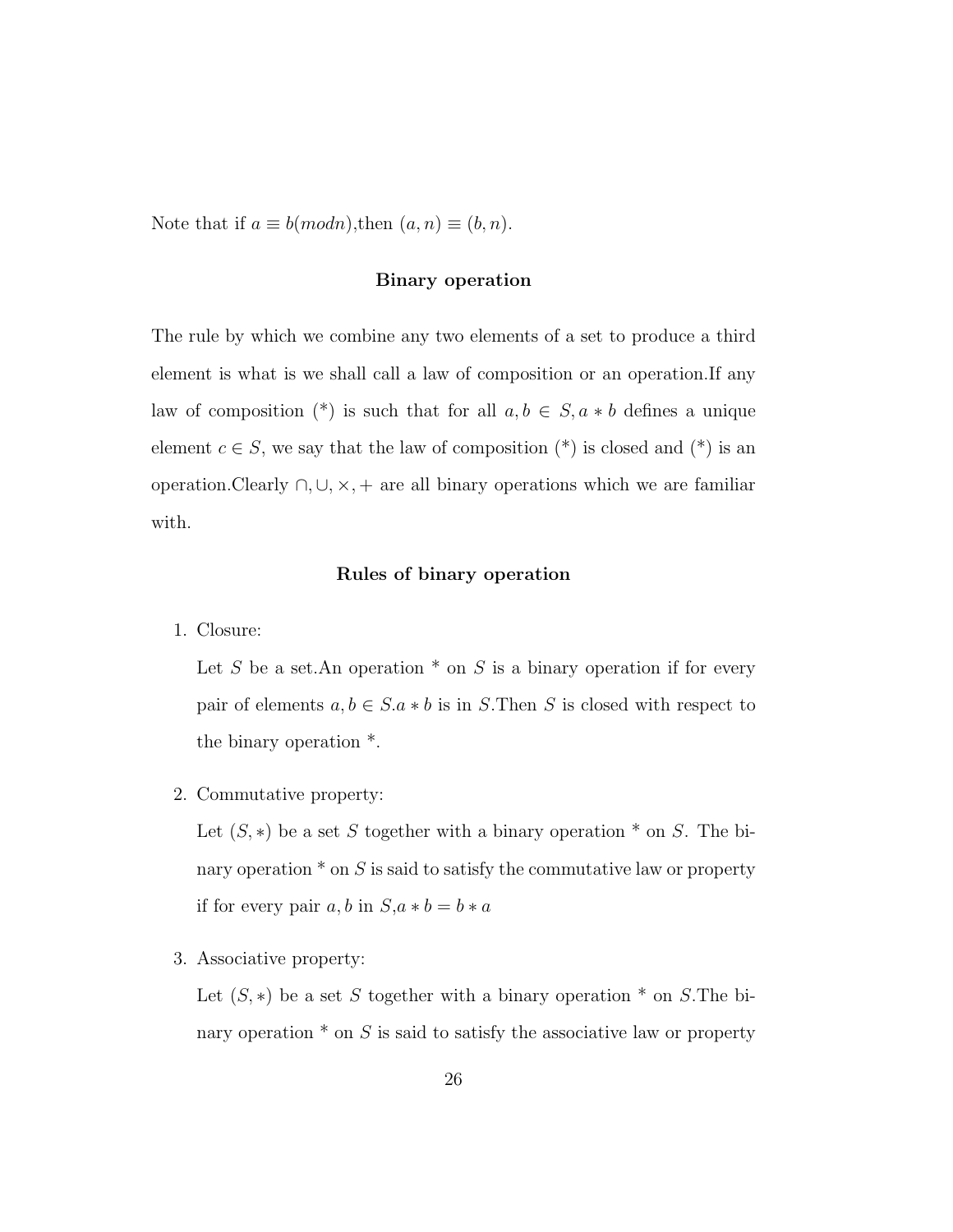Note that if  $a \equiv b (modn)$ , then  $(a, n) \equiv (b, n)$ .

#### Binary operation

The rule by which we combine any two elements of a set to produce a third element is what is we shall call a law of composition or an operation.If any law of composition (\*) is such that for all  $a, b \in S$ ,  $a * b$  defines a unique element  $c \in S$ , we say that the law of composition  $(*)$  is closed and  $(*)$  is an operation.Clearly  $\cap$ ,  $\cup$ ,  $\times$ ,  $+$  are all binary operations which we are familiar with.

#### Rules of binary operation

1. Closure:

Let S be a set.An operation  $*$  on S is a binary operation if for every pair of elements  $a, b \in S.a * b$  is in S. Then S is closed with respect to the binary operation \*.

2. Commutative property:

Let  $(S, *)$  be a set S together with a binary operation  $*$  on S. The binary operation  $*$  on S is said to satisfy the commutative law or property if for every pair  $a, b$  in  $S, a * b = b * a$ 

3. Associative property:

Let  $(S, *)$  be a set S together with a binary operation  $*$  on S. The binary operation  $*$  on S is said to satisfy the associative law or property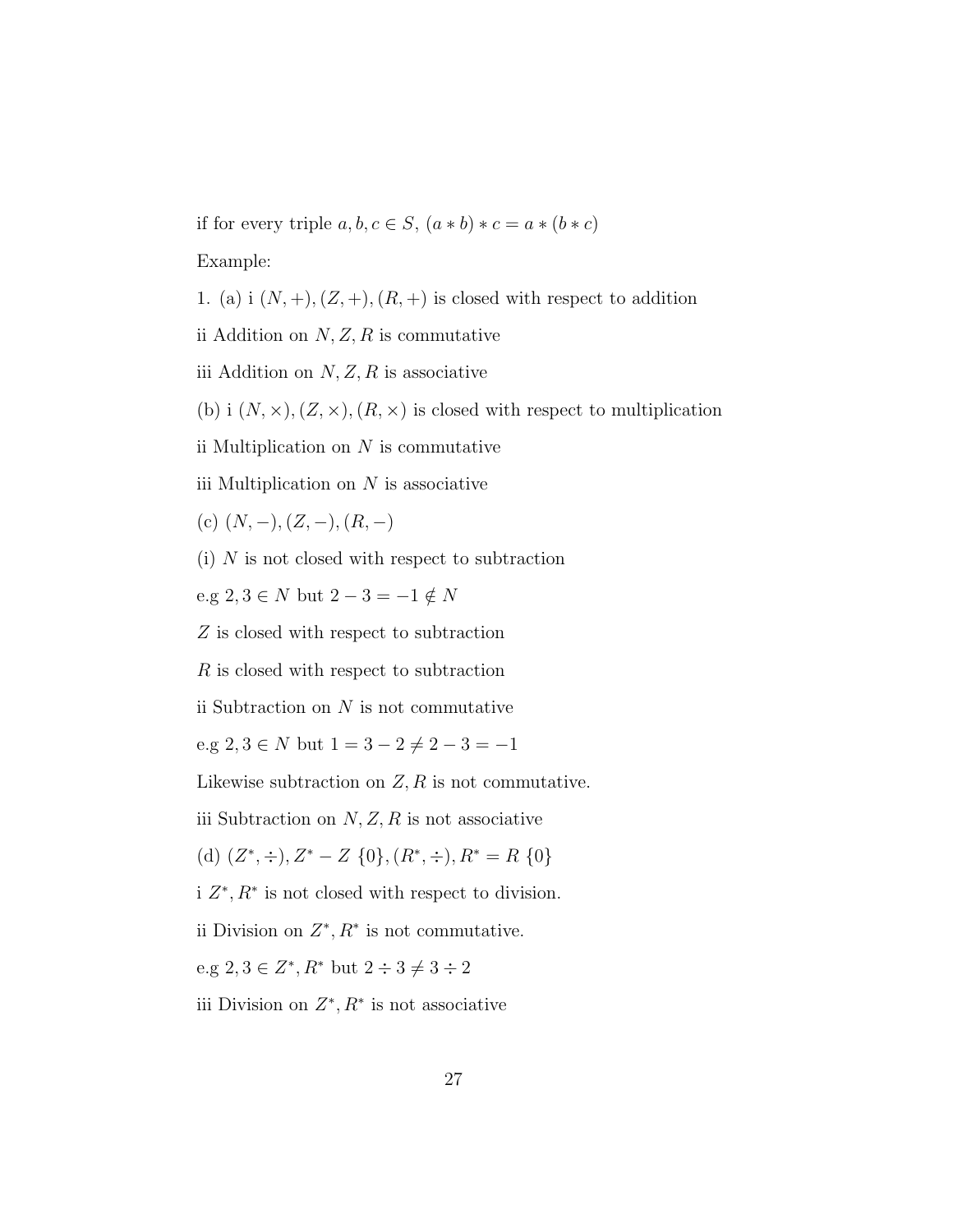if for every triple  $a, b, c \in S$ ,  $(a * b) * c = a * (b * c)$ Example:

1. (a) i  $(N, +), (Z, +), (R, +)$  is closed with respect to addition

ii Addition on  $N, Z, R$  is commutative

iii Addition on  $N, Z, R$  is associative

(b) i  $(N, \times), (Z, \times), (R, \times)$  is closed with respect to multiplication

ii Multiplication on  $N$  is commutative

iii Multiplication on  $N$  is associative

(c)  $(N, -), (Z, -), (R, -)$ 

(i) N is not closed with respect to subtraction

e.g  $2, 3 \in N$  but  $2-3=-1 \notin N$ 

Z is closed with respect to subtraction

R is closed with respect to subtraction

ii Subtraction on  $N$  is not commutative

e.g  $2, 3 \in N$  but  $1 = 3 - 2 \neq 2 - 3 = -1$ 

Likewise subtraction on  $Z, R$  is not commutative.

iii Subtraction on  $N, Z, R$  is not associative

(d)  $(Z^*, \div), Z^* - Z$  {0},  $(R^*, \div), R^* = R$  {0}

i  $Z^*, R^*$  is not closed with respect to division.

ii Division on  $Z^*, R^*$  is not commutative.

e.g  $2, 3 \in \mathbb{Z}^*, R^*$  but  $2 \div 3 \neq 3 \div 2$ 

iii Division on  $Z^*, R^*$  is not associative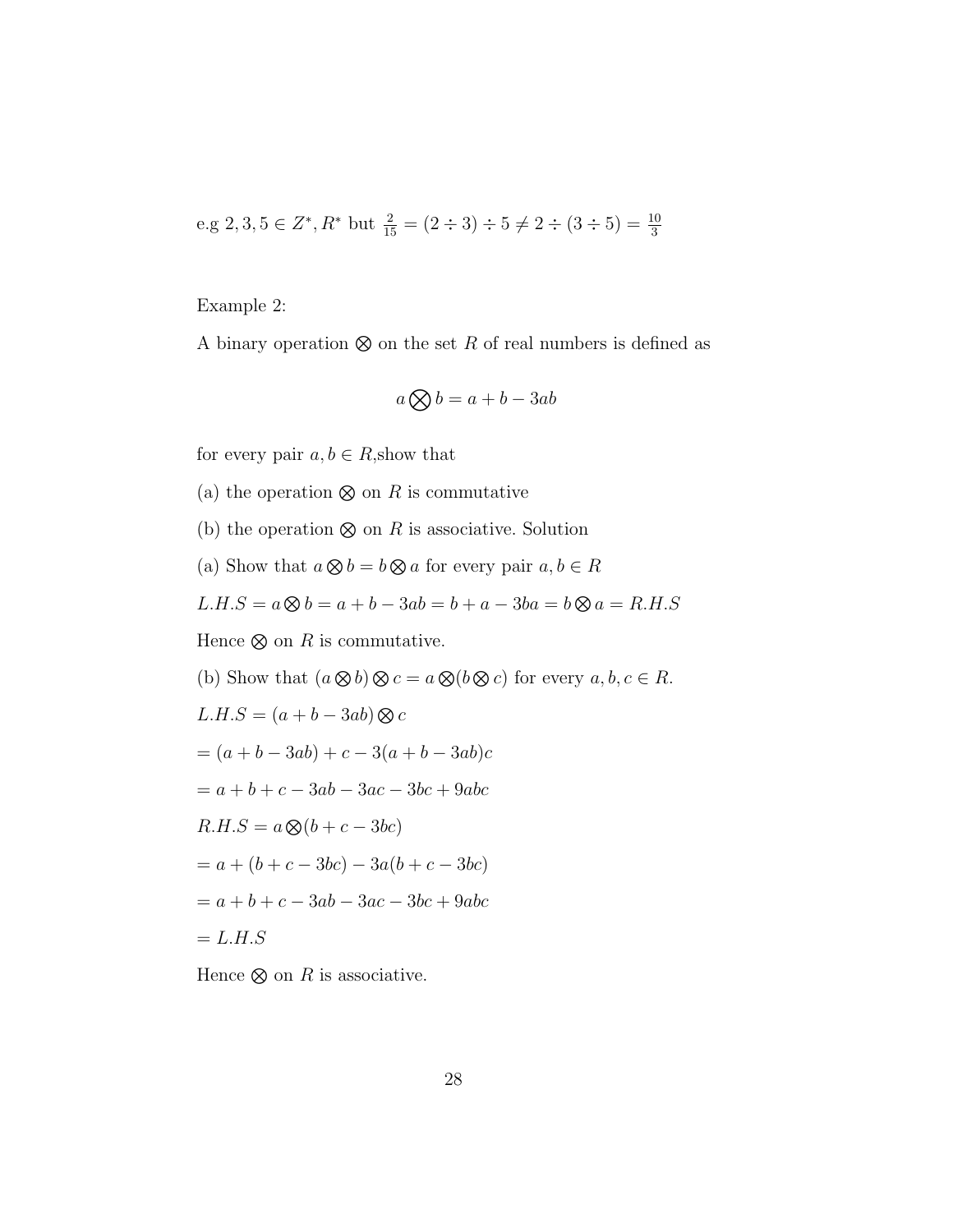e.g 2, 3, 5 
$$
\in Z^*
$$
,  $R^*$  but  $\frac{2}{15} = (2 \div 3) \div 5 \neq 2 \div (3 \div 5) = \frac{10}{3}$ 

Example 2:

A binary operation  $\otimes$  on the set R of real numbers is defined as

$$
a \bigotimes b = a + b - 3ab
$$

for every pair  $a, b \in R$ , show that

(a) the operation  $\otimes$  on R is commutative

(b) the operation  $\otimes$  on R is associative. Solution

(a) Show that  $a \otimes b = b \otimes a$  for every pair  $a, b \in R$ 

$$
L.H.S = a \otimes b = a + b - 3ab = b + a - 3ba = b \otimes a = R.H.S
$$

Hence  $\otimes$  on R is commutative.

(b) Show that 
$$
(a \otimes b) \otimes c = a \otimes (b \otimes c)
$$
 for every  $a, b, c \in R$ .  
\n $L.H.S = (a + b - 3ab) \otimes c$   
\n $= (a + b - 3ab) + c - 3(a + b - 3ab)c$   
\n $= a + b + c - 3ab - 3ac - 3bc + 9abc$   
\n $R.H.S = a \otimes (b + c - 3bc)$   
\n $= a + (b + c - 3bc) - 3a(b + c - 3bc)$   
\n $= a + b + c - 3ab - 3ac - 3bc + 9abc$   
\n $= L.H.S$ 

Hence  $\otimes$  on R is associative.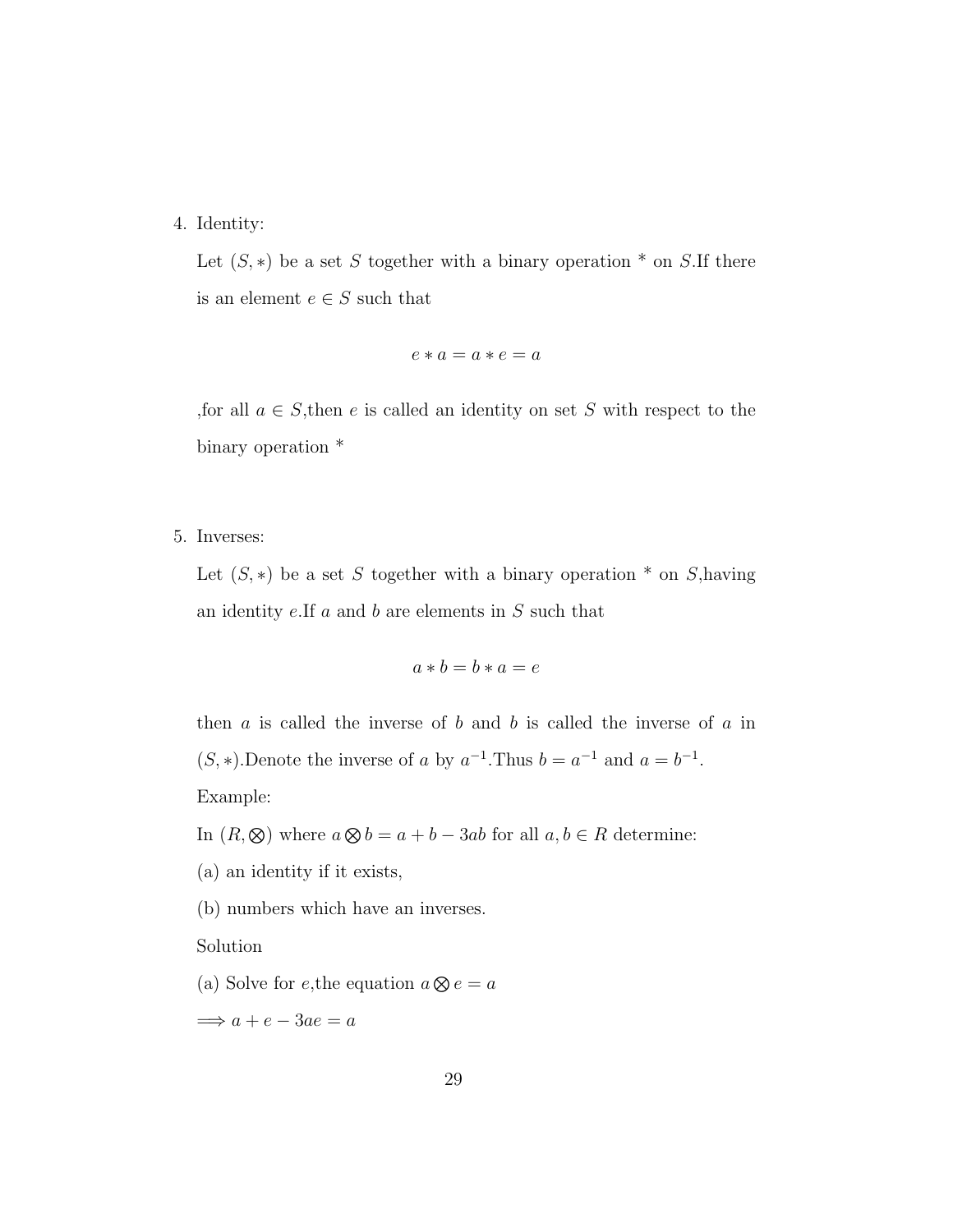## 4. Identity:

Let  $(S, *)$  be a set S together with a binary operation  $*$  on S.If there is an element  $e \in S$  such that

$$
e * a = a * e = a
$$

, for all  $a \in S$ , then e is called an identity on set S with respect to the binary operation \*

5. Inverses:

Let  $(S, *)$  be a set S together with a binary operation  $*$  on S, having an identity  $e.\text{If } a$  and  $b$  are elements in  $S$  such that

$$
a * b = b * a = e
$$

then  $a$  is called the inverse of  $b$  and  $b$  is called the inverse of  $a$  in  $(S, *)$ . Denote the inverse of a by  $a^{-1}$ . Thus  $b = a^{-1}$  and  $a = b^{-1}$ . Example:

In  $(R, \otimes)$  where  $a \otimes b = a + b - 3ab$  for all  $a, b \in R$  determine:

(a) an identity if it exists,

(b) numbers which have an inverses.

Solution

(a) Solve for *e*, the equation  $a \otimes e = a$ 

 $\implies a + e - 3ae = a$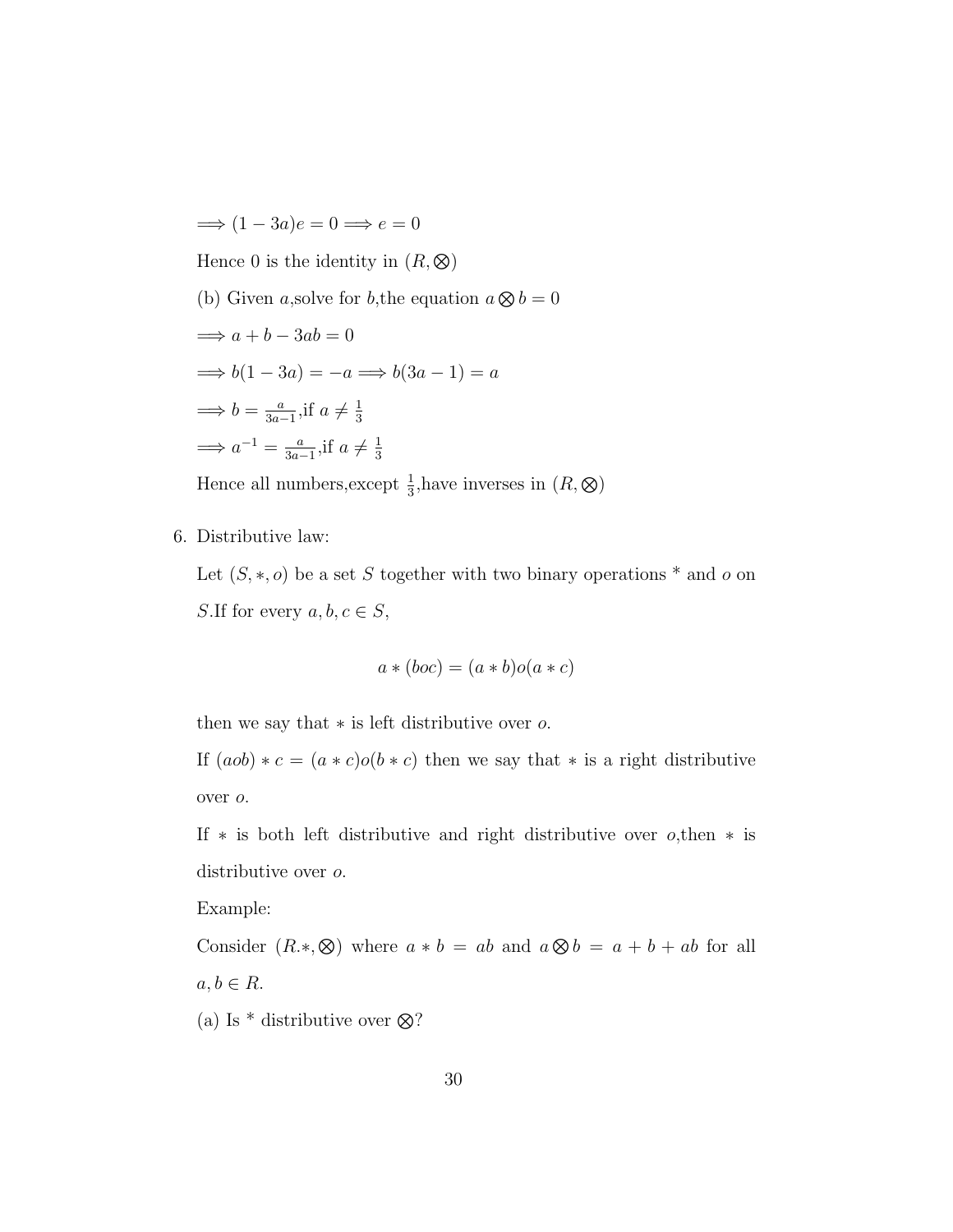$$
\implies (1 - 3a)e = 0 \implies e = 0
$$
  
Hence 0 is the identity in  $(R, \otimes)$   
(b) Given  $a$ , solve for  $b$ , the equation  $a \otimes b = 0$   
 $\implies a + b - 3ab = 0$   
 $\implies b(1 - 3a) = -a \implies b(3a - 1) = a$   
 $\implies b = \frac{a}{3a - 1}$ , if  $a \neq \frac{1}{3}$   
 $\implies a^{-1} = \frac{a}{3a - 1}$ , if  $a \neq \frac{1}{3}$ 

Hence all numbers, except  $\frac{1}{3}$ , have inverses in  $(R, \otimes)$ 

6. Distributive law:

Let  $(S, *, o)$  be a set S together with two binary operations  $*$  and  $o$  on S.<br>If for every  $a,b,c\in S,$ 

$$
a * (boc) = (a * b)o(a * c)
$$

then we say that  $*$  is left distributive over  $o$ .

If  $(aob) * c = (a * c)o(b * c)$  then we say that \* is a right distributive over o.

If  $*$  is both left distributive and right distributive over  $o,$ then  $*$  is distributive over  $o$ .

Example:

Consider  $(R, *, \otimes)$  where  $a * b = ab$  and  $a \otimes b = a + b + ab$  for all  $a, b \in R$ .

(a) Is  $*$  distributive over  $\otimes$ ?